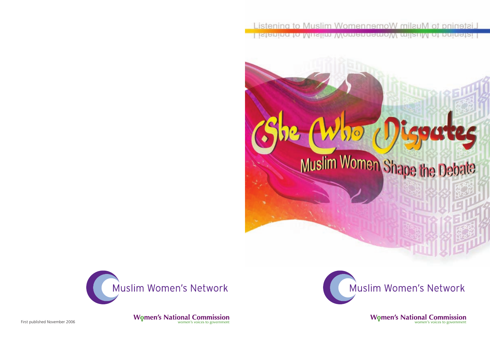





**Women's National Commission** 

First published November 2006



# Muslim Women Shape the Debate

wteg

Muslim Women's Network

**Women's National Commission**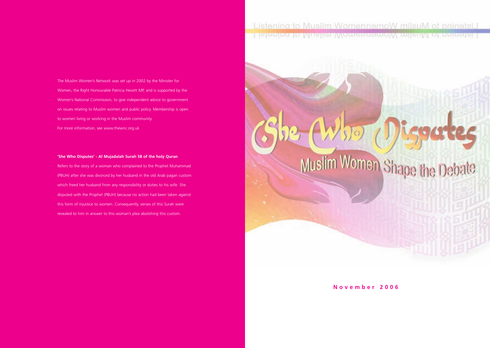The Muslim Women's Network was set up in 2002 by the Minister for Women, the Right Honourable Patricia Hewitt MP, and is supported by the Women's National Commission, to give independent advice to government on issues relating to Muslim women and public policy. Membership is open to women living or working in the Muslim community. For more information, see www.thewnc.org.uk

#### **'She Who Disputes' - Al Mujadalah Surah 58 of the holy Quran**

Refers to the story of a woman who complained to the Prophet Muhammad (PBUH) after she was divorced by her husband in the old Arab pagan custom which freed her husband from any responsibility or duties to his wife. She disputed with the Prophet (PBUH) because no action had been taken against this form of injustice to women. Consequently, verses of this Surah were revealed to him in answer to this woman's plea abolishing this custom.

# Listening to Muslim WomennemoW milauM of prinetail <u> Estanna (a Wiksima Wannangan ay anishiwa daonna isa</u>

**November 2006**

# Muslim Women Shape the Deb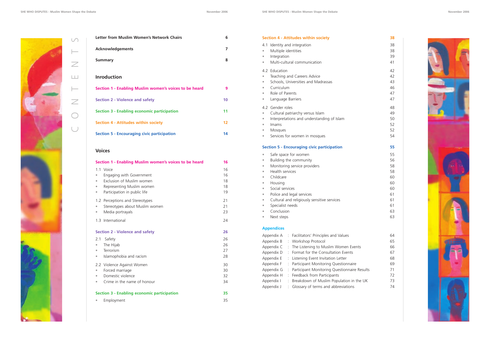| 4.1 Identity and integration                            |  |
|---------------------------------------------------------|--|
| Multiple identities<br>۰                                |  |
| Integration<br>$\bullet$                                |  |
| Multi-cultural communication<br>$\qquad \qquad \bullet$ |  |
| 4.2 Education                                           |  |
| Teaching and Careers Advice<br>$\bullet$                |  |
| Schools, Universities and Madrassas<br>$\bullet$        |  |
| Curriculum<br>$\bullet$                                 |  |
| Role of Parents<br>$\bullet$                            |  |
| Language Barriers<br>$\bullet$                          |  |
| 4.2 Gender roles                                        |  |
| Cultural patriarchy versus Islam<br>۰                   |  |
| Interpretations and understanding of Islam<br>$\bullet$ |  |
| Imams<br>$\bullet$                                      |  |
| Mosques<br>$\bullet$                                    |  |
| Services for women in mosques<br>$\bullet$              |  |



- Building the community
- Monitoring service providers
- Health services
- Childcare
- Housing
- Social services
- Police and legal services
- Cultural and religiously sensitive services
- Specialist needs
- Conclusion
- Next steps

## **Appendices**

| Appendix A | : Facilitators' Principles and Values          | 64 |
|------------|------------------------------------------------|----|
| Appendix B | : Workshop Protocol                            | 65 |
| Appendix C | : The Listening to Muslim Women Events         | 66 |
| Appendix D | : Format for the Consultation Events           | 67 |
| Appendix E | : Listening Event Invitation Letter            | 68 |
| Appendix F | : Participant Monitoring Questionnaire         | 69 |
| Appendix G | : Participant Monitoring Questionnaire Results | 71 |
| Appendix H | : Feedback from Participants                   | 72 |
| Appendix I | : Breakdown of Muslim Population in the UK     | 73 |
| Appendix J | : Glossary of terms and abbreviations          | 74 |
|            |                                                |    |

| 38<br>38<br>38<br>39<br>41<br>42<br>42<br>43<br>46<br>47<br>47<br>48       |  |  |
|----------------------------------------------------------------------------|--|--|
| 49<br>50<br>52<br>52<br>54                                                 |  |  |
| 55<br>55<br>56<br>58<br>58<br>60<br>60<br>60<br>61<br>61<br>61<br>63<br>63 |  |  |
| 64<br>65<br>66<br>67<br>68<br>69<br>71<br>72<br>73<br>74                   |  |  |
|                                                                            |  |  |

| Letter from Muslim Women's Network Chairs              | 6  |
|--------------------------------------------------------|----|
| <b>Acknowledgements</b>                                | 7  |
| <b>Summary</b>                                         | 8  |
| <b>Inroduction</b>                                     |    |
| Section 1 - Enabling Muslim women's voices to be heard | 9  |
| <b>Section 2 - Violence and safety</b>                 | 10 |
| <b>Section 3 - Enabling economic participation</b>     | 11 |
| <b>Section 4 - Attitudes within society</b>            | 12 |
| <b>Section 5 - Encouraging civic participation</b>     | 14 |

#### **Voices**

 $\cup$ 

| Section 1 - Enabling Muslim women's voices to be heard          |                                                                                                                                 | 16                         |
|-----------------------------------------------------------------|---------------------------------------------------------------------------------------------------------------------------------|----------------------------|
| $\bullet$<br>$\bullet$<br>$\bullet$<br>$\bullet$                | 1.1 Voice<br>Engaging with Government<br>Exclusion of Muslim women<br>Representing Muslim women<br>Participation in public life | 16<br>16<br>18<br>18<br>19 |
| $\bullet$<br>$\qquad \qquad \bullet$                            | 1.2 Perceptions and Stereotypes<br>Stereotypes about Muslim women<br>Media portrayals                                           | 21<br>21<br>23             |
|                                                                 | 1.3 International                                                                                                               | 24                         |
| 2.1<br>$\bullet$<br>$\bullet$<br>$\bullet$                      | <b>Section 2 - Violence and safety</b><br>Safety<br>The Hijab<br>Terrorism<br>Islamophobia and racism                           | 26<br>26<br>26<br>27<br>28 |
| $\qquad \qquad \bullet$<br>$\qquad \qquad \bullet$<br>$\bullet$ | 2.2 Violence Against Women<br>Forced marriage<br>Domestic violence<br>Crime in the name of honour                               | 30<br>30<br>32<br>34       |
|                                                                 | <b>Section 3 - Enabling economic participation</b>                                                                              | 35                         |
| $\bullet$                                                       | Employment                                                                                                                      | 35                         |

O

 $\overline{\mathcal{L}}$ 

 $\vdash$ 

 $\Box$ 

 $\geq$ 

 $\vdash$ 

 $\cup$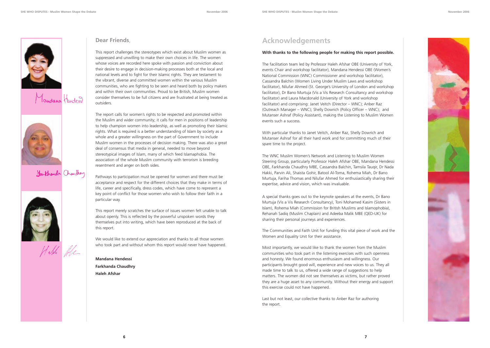





# Farthands Chaudhuy





## **Dear Friends**,

This report challenges the stereotypes which exist about Muslim women as suppressed and unwilling to make their own choices in life. The women whose voices are recorded here spoke with passion and conviction about their desire to engage in decision-making processes both at the local and national levels and to fight for their Islamic rights. They are testament to the vibrant, diverse and committed women within the various Muslim communities, who are fighting to be seen and heard both by policy makers and within their own communities. Proud to be British, Muslim women consider themselves to be full citizens and are frustrated at being treated as outsiders.

The report calls for women's rights to be respected and promoted within the Muslim and wider community; it calls for men in positions of leadership to help champion women into leadership, as well as promoting their Islamic rights. What is required is a better understanding of Islam by society as a whole and a greater willingness on the part of Government to include Muslim women in the processes of decision making. There was also a great deal of consensus that media in general, needed to move beyond stereotypical images of Islam, many of which feed Islamaphobia. The association of the whole Muslim community with terrorism is breeding resentment and anger on both sides.

Pathways to participation must be opened for women and there must be acceptance and respect for the different choices that they make in terms of life, career and specifically, dress codes, which have come to represent a key point of conflict for those women who wish to follow their faith in a particular way.

This report merely scratches the surface of issues women felt unable to talk about openly. This is reflected by the powerful unspoken words they themselves put into writing, which have been reproduced at the back of this report.

We would like to extend our appreciation and thanks to all those women who took part and without whom this report would never have happened.

**Mandana Hendessi Farkhanda Chaudhry Haleh Afshar**

# **Acknowledgements**

#### **With thanks to the following people for making this report possible.**

The facilitation team led by Professor Haleh Afshar OBE (University of York, events Chair and workshop facilitator), Mandana Hendessi OBE (Women's National Commission (WNC) Commissioner and workshop facilitator), Cassandra Balchin (Women Living Under Muslim Laws and workshop facilitator), Nilufar Ahmed (St. George's University of London and workshop facilitator), Dr Bano Murtuja (Vis a Vis Research Consultancy and workshop facilitator) and Laura Macdonald (University of York and workshop facilitator) and comprising: Janet Veitch (Director – WNC); Anber Raz (Outreach Manager – WNC); Shelly Dowrich (Policy Officer – WNC); and Mutanser Ashraf (Policy Assistant), making the Listening to Muslim Women events such a success.

With particular thanks to Janet Veitch, Anber Raz, Shelly Dowrich and Mutanser Ashraf for all their hard work and for committing much of their spare time to the project.

The WNC Muslim Women's Network and Listening to Muslim Women Steering Group, particularly Professor Haleh Afshar OBE, Mandana Hendessi OBE, Farkhanda Chaudhry MBE, Cassandra Balchin, Tamsila Tauqir, Dr Nada Hakki, Parvin Ali, Shaista Gohir, Batool Al-Toma, Rohema Miah, Dr Bano Murtuja, Fariha Thomas and Nilufar Ahmed for enthusiastically sharing their expertise, advice and vision, which was invaluable.

A special thanks goes out to the keynote speakers at the events, Dr Bano Murtuja (Vis a Vis Research Consultancy), Toni Mohamed Kasim (Sisters in Islam), Rohema Miah (Commission for British Muslims and Islamophobia), Rehanah Sadiq (Muslim Chaplain) and Adeeba Malik MBE (QED-UK) for sharing their personal journeys and experiences.

The Communities and Faith Unit for funding this vital piece of work and the Women and Equality Unit for their assistance.

Most importantly, we would like to thank the women from the Muslim communities who took part in the listening exercises with such openness and honesty. We found enormous enthusiasm and willingness. Our participants brought good will, experience and new voices to us. They all made time to talk to us, offered a wide range of suggestions to help matters. The women did not see themselves as victims, but rather proved they are a huge asset to any community. Without their energy and support this exercise could not have happened.

Last but not least, our collective thanks to Anber Raz for authoring the report.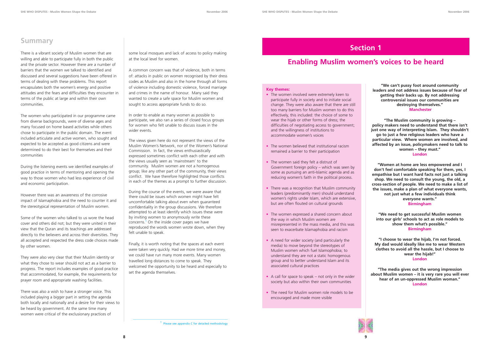

# **Summary**

There is a vibrant society of Muslim women that are willing and able to participate fully in both the public and the private sector. However there are a number of barriers that the women we talked to identified and discussed and several suggestions have been offered in terms of dealing with these problems. This report encapsulates both the women's energy and positive attitudes and the fears and difficulties they encounter in terms of the public at large and within their own communities.

The women who participated in our programme came from diverse backgrounds, were of diverse ages and many focused on home based activities while others chose to participate in the public domain. The event included articulate and active women, who sought and expected to be accepted as good citizens and were determined to do their best for themselves and their communities

During the listening events we identified examples of good practice in terms of mentoring and opening the way to those women who had less experience of civil and economic participation.

However there was an awareness of the corrosive impact of Islamaphobia and the need to counter it and the stereotypical representation of Muslim women.

Some of the women who talked to us wore the head cover and others did not; but they were united in their view that the Quran and its teachings are addressed directly to the believers and across their diversities. They all accepted and respected the dress code choices made by other women.

They were also very clear that their Muslim identity or what they chose to wear should not act as a barrier to progress. The report includes examples of good practice that accommodated, for example, the requirements for prayer room and appropriate washing facilities.

There was also a wish to have a stronger voice. This included playing a bigger part in setting the agenda both locally and nationally and a desire for their views to be heard by government. At the same time many women were critical of the exclusionary practices of

#### **"We can't pussy foot around community leaders and not address issues because of fear of getting their backs up. By not addressing controversial issues our communities are destroying themselves." Manchester**

**"The Muslim community is growing – policy makers need to understand that there isn't just one way of interpreting Islam. They shouldn't go to just a few religious leaders who have a particular view. Where women are involved, and affected by an issue, policymakers need to talk to women – they must." London**

**"Women at home are less empowered and I don't feel comfortable speaking for them, yes, I empathise but I want hard facts not just a talking shop. We need to consult the young, the old, a cross-section of people. We need to make a list of the issues, make a plan of what everyone wants, not just what a few individuals think everyone wants."**

**Birmingham**

**"We need to get successful Muslim women into our girls' schools to act as role models to show them what's possible." Birmingham**

**"I choose to wear the hijab, I'm not forced. My dad would ideally like me to wear Western clothes to avoid all the hassle, but I choose to wear the hijab!" London**

**"The media gives out the wrong impression about Muslim women – it is very rare you will ever hear of an un-oppressed Muslim woman." London**



#### **Key themes:**

- The women involved were extremely keen to participate fully in society and to initiate social change. They were also aware that there are still too many barriers for Muslim women to do this effectively, this included: the choice of some to wear the hijab or other forms of dress; the difficulties of negotiating access to government; and the willingness of institutions to accommodate women's voices
- The women believed that institutional racism remained a barrier to their participation
- The women said they felt a distrust of Government foreign policy – which was seen by some as pursuing an anti-Islamic agenda and as reducing women's faith in the political process.
- There was a recognition that Muslim community leaders (predominantly men) should understand women's rights under Islam, which are extensive, but are often flouted on cultural grounds
- The women expressed a shared concern about the way in which Muslim women are misrepresented in the mass media, and this was seen to exacerbate Islamaphobia and racism
- A need for wider society (and particularly the media) to move beyond the stereotypes of Muslim women which fuel Islamophobia; to understand they are not a static homogenous group and to better understand Islam and its associated cultural practices
- A call for space to speak not only in the wider society but also within their own communities
- The need for Muslim women role models to be encouraged and made more visible

<sup>1</sup> Please see appendix C for detailed methodology

# **Section 1**

# **Enabling Muslim women's voices to be heard**

some local mosques and lack of access to policy making at the local level for women.

A common concern was that of violence, both in terms of: attacks in public on women recognised by their dress codes as Muslim and also in the home through all forms of violence including domestic violence, forced marriage and crimes in the name of honour. Many said they wanted to create a safe space for Muslim women and sought to access appropriate funds to do so.

In order to enable as many women as possible to participate, we also ran a series of closed focus groups for women who felt unable to discuss issues in the wider events.

The views given here do not represent the views of the Muslim Women's Network, nor of the Women's National Commission. In fact, the views enthusiastically expressed sometimes conflict with each other and with the views usually seen as 'mainstream' to the community. Muslim women are not a homogenous group; like any other part of the community, their views conflict. We have therefore highlighted those conflicts in each of the themes as a prompt to further discussion.

During the course of the events, we were aware that there could be issues which women might have felt uncomfortable talking about even when guaranteed confidentiality in the group discussions. We therefore attempted to at least identify which issues these were by inviting women to anonymously write these concerns.<sup>1</sup> On the inside cover pages we have reproduced the words women wrote down, when they felt unable to speak.

Finally, it is worth noting that the spaces at each event were taken very quickly. Had we more time and money, we could have run many more events. Many women travelled long distances to come to speak. They welcomed the opportunity to be heard and especially to set the agenda themselves.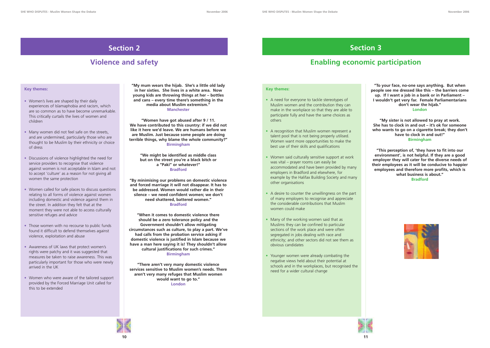#### **Key themes:**

- A need for everyone to tackle stereotypes of Muslim women and the contribution they can make in the workplace so that they are able to participate fully and have the same choices as others
- A recognition that Muslim women represent a talent pool that is not being properly utilised. Women want more opportunities to make the best use of their skills and qualifications
- Women said culturally sensitive support at work was vital – prayer rooms can easily be accommodated and have been provided by many employers in Bradford and elsewhere, for example by the Halifax Building Society and many other organisations
- A desire to counter the unwillingness on the part of many employers to recognise and appreciate the considerable contributions that Muslim women could make
- Many of the working women said that as Muslims they can be confined to particular sections of the work place and were often segregated in jobs dealing with race and ethnicity; and other sectors did not see them as obvious candidates
- Younger women were already combating the negative views held about their potential at schools and in the workplaces, but recognised the need for a wider cultural change



- Women's lives are shaped by their daily experiences of Islamaphobia and racism, which are so common as to have become unremarkable. This critically curtails the lives of women and children
- Many women did not feel safe on the streets, and are undermined, particularly those who are thought to be Muslim by their ethnicity or choice of dress
- Discussions of violence highlighted the need for service providers to recognise that violence against women is not acceptable in Islam and not to accept 'culture' as a reason for not giving all women the same protection
- Women called for safe places to discuss questions relating to all forms of violence against women including domestic and violence against them in the street. In addition they felt that at the moment they were not able to access culturally sensitive refuges and advice
- Those women with no recourse to public funds found it difficult to defend themselves against violence, exploitation and abuse
- Awareness of UK laws that protect women's rights were patchy and it was suggested that measures be taken to raise awareness. This was particularly important for those who were newly arrived in the UK
- Women who were aware of the tailored support provided by the Forced Marriage Unit called for this to be extended

# **Section 2**

# **Violence and safety**

#### **Key themes:**

**"To your face, no-one says anything. But when people see me dressed like this – the barriers come up. If I want a job in a bank or in Parliament – I wouldn't get very far. Female Parliamentarians don't wear the hijab." London**

**"My sister is not allowed to pray at work. She has to clock in and out – it's ok for someone who wants to go on a cigarette break; they don't have to clock in and out!" Birmingham**

**"This perception of, 'they have to fit into our environment', is not helpful. If they are a good employer they will cater for the diverse needs of their employees as it will be conducive to happier employees and therefore more profits, which is what business is about." Bradford**





**"My mum wears the hijab. She's a little old lady in her sixties. She lives in a white area. Now young kids are throwing things at her – bottles and cans – every time there's something in the media about Muslim extremism." Manchester**

**"Women have got abused after 9 / 11. We have contributed to this country: if we did not like it here we'd leave. We are humans before we are Muslim. Just because some people are doing terrible things, why blame the whole community?" Birmingham**

> **"We might be identified as middle class but on the street you're a black bitch or a "Paki" or whatever!" Bradford**

**"By minimising our problems on domestic violence and forced marriage it will not disappear. It has to be addressed. Women would rather die in their silence – we need confident women; we don't need shattered, battered women." Bradford**

**"When it comes to domestic violence there should be a zero tolerance policy and the Government shouldn't allow mitigating circumstances such as culture, to play a part. We've had calls from the probation service asking if domestic violence is justified in Islam because we have a man here saying it is! They shouldn't allow cultural justifications for such crimes." Birmingham**

**"There aren't very many domestic violence services sensitive to Muslim women's needs. There aren't very many refuges that Muslim women would want to go to." London**

# **Section 3**

# **Enabling economic participation**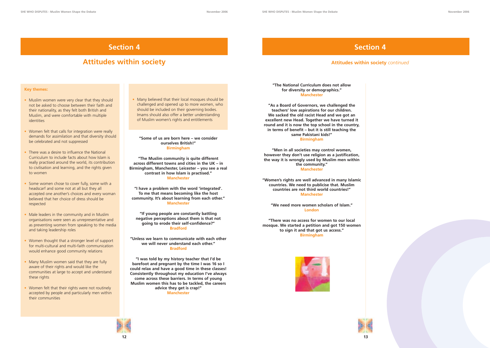#### **Key themes:**

- Muslim women were very clear that they should not be asked to choose between their faith and their nationality, as they felt both British and Muslim, and were comfortable with multiple identities
- Women felt that calls for integration were really demands for assimilation and that diversity should be celebrated and not suppressed
- There was a desire to influence the National Curriculum to include facts about how Islam is really practised around the world, its contribution to civilisation and learning, and the rights given to women
- Some women chose to cover fully, some with a headscarf and some not at all but they all accepted one another's choices and every woman believed that her choice of dress should be respected
- Male leaders in the community and in Muslim organisations were seen as unrepresentative and as preventing women from speaking to the media and taking leadership roles
- Women thought that a stronger level of support for multi-cultural and multi-faith communication would enhance good community relations
- Many Muslim women said that they are fully aware of their rights and would like the communities at large to accept and understand these rights
- Women felt that their rights were not routinely accepted by people and particularly men within their communities

#### **"Some of us are born here – we consider ourselves British!" Birmingham**

**"The Muslim community is quite different across different towns and cities in the UK – in Birmingham, Manchester, Leicester – you see a real contrast in how Islam is practised." Manchester**

**"I have a problem with the word 'integrated'. To me that means becoming like the host community. It's about learning from each other." Manchester**

**"If young people are constantly battling negative perceptions about them is that not going to erode their self-confidence?" Bradford**

**"Unless we learn to communicate with each other we will never understand each other." Bradford**

**"I was told by my history teacher that I'd be barefoot and pregnant by the time I was 16 so I could relax and have a good time in these classes! Consistently throughout my education I've always come across these barriers. In terms of young Muslim women this has to be tackled, the careers advice they get is crap!" Manchester**

#### **"The National Curriculum does not allow for diversity or demographics." Manchester**

**"As a Board of Governors, we challenged the teachers' low aspirations for our children. We sacked the old racist Head and we got an excellent new Head. Together we have turned it round and it is now the top school in the country, in terms of benefit – but it is still teaching the same Pakistani kids!" Birmingham**

**"Men in all societies may control women, however they don't use religion as a justification, the way it is wrongly used by Muslim men within the community." Manchester**

**"Women's rights are well advanced in many Islamic countries. We need to publicise that. Muslim countries are not third world countries!" Manchester**

**"We need more women scholars of Islam." London**

**"There was no access for women to our local mosque. We started a petition and got 150 women to sign it and that got us access." Birmingham**





• Many believed that their local mosques should be challenged and opened up to more women, who should be included on their governing bodies. Imams should also offer a better understanding of Muslim women's rights and entitlements



# **Section 4**

# **Attitudes within society**

# **Section 4**

## **Attitudes within society** *continued*

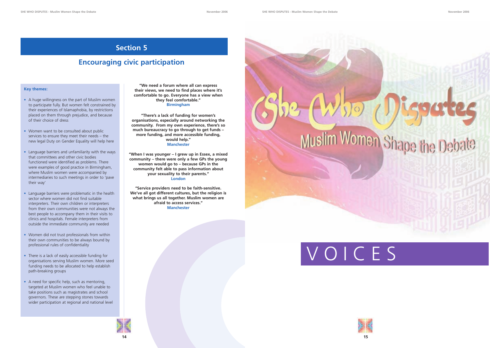**"We need a forum where all can express their views, we need to find places where it's comfortable to go. Everyone has a view when they feel comfortable." Birmingham**

**"There's a lack of funding for women's organisations, especially around networking the community. From my own experience, there's so much bureaucracy to go through to get funds – more funding, and more accessible funding, would help." Manchester**

**"When I was younger – I grew up in Essex, a mixed community – there were only a few GPs the young women would go to – because GPs in the community felt able to pass information about your sexuality to their parents." London**

**"Service providers need to be faith-sensitive. We've all got different cultures, but the religion is what brings us all together. Muslim women are afraid to access services." Manchester**



#### **Key themes:**

- A huge willingness on the part of Muslim women to participate fully. But women felt constrained by their experiences of Islamaphobia, by restrictions placed on them through prejudice, and because of their choice of dress
- Women want to be consulted about public services to ensure they meet their needs – the new legal Duty on Gender Equality will help here
- Language barriers and unfamiliarity with the ways that committees and other civic bodies functioned were identified as problems. There were examples of good practice in Birmingham, where Muslim women were accompanied by intermediaries to such meetings in order to 'pave their way'
- Language barriers were problematic in the health sector where women did not find suitable interpreters. Their own children or interpreters from their own communities were not always the best people to accompany them in their visits to clinics and hospitals. Female interpreters from outside the immediate community are needed
- Women did not trust professionals from within their own communities to be always bound by professional rules of confidentiality
- There is a lack of easily accessible funding for organisations serving Muslim women. More seed funding needs to be allocated to help establish path-breaking groups
- A need for specific help, such as mentoring, targeted at Muslim women who feel unable to take positions such as magistrates and school governors. These are stepping stones towards wider participation at regional and national level

# **Section 5**

# **Encouraging civic participation**

# VOICES

# Women Shape the I

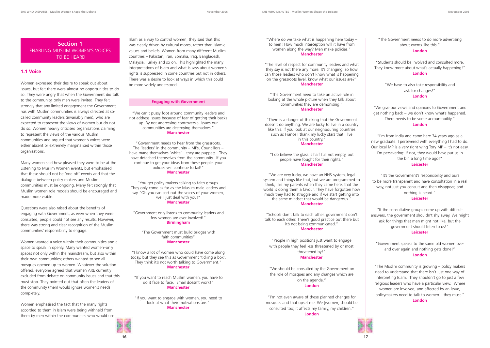**16 17**

Islam as a way to control women; they said that this was clearly driven by cultural mores, rather than Islamic values and beliefs. Women from many different Muslim countries – Pakistan, Iran, Somalia, Iraq, Bangladesh, Malaysia, Turkey and so on. This highlighted the many interpretations of Islam and what is says about women's rights is suppressed in some countries but not in others. There was a desire to look at ways in which this could be more widely understood.

#### **Engaging with Government**

"We can't pussy foot around community leaders and not address issues because of fear of getting their backs up. By not addressing controversial issues our communities are destroying themselves." **Manchester**

"Government needs to hear from the grassroots. The 'leaders' in the community – MPs, Councillors – have made themselves 'white' – they are puppets. They have detached themselves from the community. If you continue to get your ideas from these people, your policies will continue to fail!" **Manchester**

"You get policy makers talking to faith groups. They only come as far as the Muslim male leaders and say "Oh you can sort out the voices of your women, we'll just deal with you!" **Manchester**

"Government only listens to community leaders and few women are ever involved!" **Birmingham**

"The Government must build bridges with faith communities" **Manchester**

"I know a lot of women who could have come along today, but they see this as Government 'ticking a box'. They think it's not worth talking to Government." **Manchester**

"If you want to reach Muslim women, you have to do it face to face. Email doesn't work!" **Manchester**

"If you want to engage with women, you need to look at what their motivations are." **Manchester**

"The Government needs to do more advertising about events like this."

#### **London**

"Students should be involved and consulted more. They know more about what's actually happening!" **London**

> "We have to also take responsibility and ask for changes!" **London**

"We give our views and opinions to Government and get nothing back – we don't know what's happened. There needs to be some accountability." **London**

"I'm from India and came here 34 years ago as a new graduate. I persevered with everything I had to do. Our local MP is a very right wing Tory MP – it's not easy. I'm persevering: if not, they would have put us in the bin a long time ago!"

#### **Leicester**

"It's the Government's responsibility and ours to be more transparent and have consultation in a real way, not just you consult and then disappear, and nothing is heard."

#### **Leicester**

"If the consultative groups come up with difficult answers, the government shouldn't shy away. We might ask for things that men might not like, but the government should listen to us!" **Leicester**

"Government speaks to the same old women over and over again and nothing gets done!" **London**

"The Muslim community is growing – policy makers need to understand that there isn't just one way of interpreting Islam. They shouldn't go to just a few religious leaders who have a particular view. Where women are involved, and affected by an issue, policymakers need to talk to women – they must."

**London**

## **Section 1** ENABLING MUSLIM WOMEN'S VOICES TO BE HEARD

### **1.1 Voice**

Women expressed their desire to speak out about issues, but felt there were almost no opportunities to do so. They were angry that when the Government did talk to the community, only men were invited. They felt strongly that any limited engagement the Government has with Muslim communities is always directed at socalled community leaders (invariably men), who are expected to represent the views of women but do not do so. Women heavily criticised organisations claiming to represent the views of the various Muslim communities and argued that women's voices were either absent or extremely marginalised within those organisations.

Many women said how pleased they were to be at the Listening to Muslim Women events, but emphasised that these should not be 'one off' events and that the dialogue between policy makers and Muslim communities must be ongoing. Many felt strongly that Muslim women role models should be encouraged and made more visible.

Questions were also raised about the benefits of engaging with Government, as even when they were consulted, people could not see any results. However, there was strong and clear recognition of the Muslim communities' responsibility to engage.

Women wanted a voice within their communities and a space to speak in openly. Many wanted women–only spaces not only within the mainstream, but also within their own communities; others wanted to see all mosques opened up to women. Whatever the solution offered, everyone agreed that women ARE currently excluded from debate on community issues and that this must stop. They pointed out that often the leaders of the community (men) would ignore women's needs completely.

Women emphasised the fact that the many rights accorded to them in Islam were being withheld from them by men within the communities who would use "Where do we take what is happening here today – to men! How much interception will it have from women along the way? Men make policies." **Manchester**

"The level of respect for community leaders and what they say is not there any more. It's changing, so how can those leaders who don't know what is happening on the grassroots level, know what our issues are?" **Manchester**

"The Government need to take an active role in looking at the whole picture when they talk about communities they are demonising." **Manchester**

"There is a danger of thinking that the Government doesn't do anything. We are lucky to live in a country like this. If you look at our neighbouring countries such as France I thank my lucky stars that I live in this country."

#### **Manchester**

"I do believe the glass is half full not empty, but people have fought for their rights." **Manchester**

"We are very lucky, we have an NHS system, legal system and things like that, but we are programmed to think, like my parents when they came here, that the world is doing them a favour. They have forgotten how much they had to struggle and if we start getting into the same mindset that would be dangerous."

#### **Manchester**

"Schools don't talk to each other, government don't talk to each other. There's good practice out there but it's not being communicated."

#### **Manchester**

"People in high positions just want to engage with people they feel less threatened by or most threatened by!"

#### **Manchester**

"We should be consulted by the Government on the role of mosques and any changes which are on the agenda."

#### **London**

"I'm not even aware of these planned changes for mosques and that upset me. We [women] should be consulted too; it affects my family, my children."

**London**

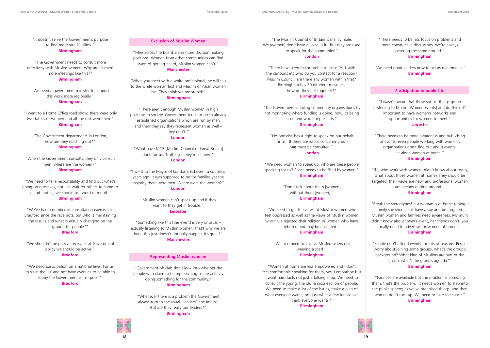**SHE WHO DISPUTES - Muslim Women Shape the Debate November 2006 SHE WHO DISPUTES - Muslim Women Shape the Debate November 2006**

"The Muslim Council of Britain is mainly male. We (women) don't have a voice in it. But they are used to speak for the community!"

#### **London**

"There have been major problems since 9/11 with the cartoons etc who do you contact for a reaction? Muslim Council, are there any women within that? Birmingham has 50 different mosques, how do they get together?" **Birmingham**

"The Government is failing community organisations by not monitoring where funding is going, how it's being used and who it represents."

#### **Birmingham**

"No-one else has a right to speak on our behalf for us. If there are issues concerning us – **we** must be consulted." **London**

"We need women to speak up, who are these people speaking for us? Space needs to be filled by women." **Birmingham**

> "Don't talk about them [women] without them [women]." **Birmingham**

"We need to get the views of Muslim women who feel oppressed as well as the views of Muslim women who have rejected their religion or women who have rebelled and may be alienated." **Birmingham**

"We also need to involve Muslim sisters not wearing a scarf." **Birmingham**

"Women at home are less empowered and I don't feel comfortable speaking for them, yes, I empathise but I want hard facts not just a talking shop. We need to consult the young, the old, a cross-section of people. We need to make a list of the issues, make a plan of what everyone wants, not just what a few individuals think everyone wants."

**Birmingham**



#### "There needs to be less focus on problems and more constructive discussions. We're always covering the same ground." **Birmingham**

"We need good leaders now to act as role models." **Birmingham**

#### **Participation in public life**

"I wasn't aware that these sort of things go on [Listening to Muslim Women Events] and do think it's important to have women's networks and opportunities for women to meet." **Leicester**

"There needs to be more awareness and publicising of events, even people working with women's organisations don't find out about events, let alone women at home." **Birmingham**

"If I, who work with women, didn't know about today, what about those women at home? They should be targeted, their views are new, and professional women are already getting around."

#### **Birmingham**

"Break the stereotypes! If a woman is at home raising a family she should still have a say and be targeted. Muslim women and families need awareness. My mum didn't know about today's event, her friends don't; you really need to advertise for women at home." **Birmingham**

"Something like this [the event] is very unusual – actually listening to Muslim women, that's why we are here, this just doesn't normally happen, it's great!"

> "People don't attend events for lots of reasons. People worry about joining some groups, what's the group's background? What kind of Muslims are part of the group, what's the group's agenda?" **Birmingham**

"Facilities are available but the problem is accessing them, that's the problem. It needs women to step into the public sphere; as we've organised things, and then women don't turn up. We need to take the space." **Birmingham**



"It doesn't serve the Government's purpose to find moderate Muslims." **Birmingham**

"The Government needs to consult more effectively with Muslim women. Why aren't there more meetings like this?" **Birmingham**

"We need a government minister to support this work more regionally."

**Birmingham**

"I went to a Home Office road show, there were only two tables of women and all the rest were men.' **Birmingham**

"The Government departments in London, how are they reaching out?" **Birmingham**

"When the Government consults, they only consult men, where are the women?" **Birmingham**

"We need to take responsibility and find out what's going on ourselves, not just wait for others to come to us and find us, we should use word of mouth." **Birmingham**

"We've had a number of consultation exercises in Bradford since the race riots, but who is maintaining the results and what is actually changing on the ground for people?" **Bradford**

"We shouldn't be passive receivers of Government policy we should be active!" **Bradford**

"We need participation on a national level. For us to sit in the UK and not have avenues to be able to lobby the Government is just poor!" **Bradford**

**Exclusion of Muslim Women**

"Men across the board are in more decision making positions. Women from other communities can find ways of getting heard, Muslim women can't." **Manchester**

"When you meet with a white professional, he will talk to the white woman first and Muslim or Asian women last. They think we are stupid!" **Birmingham**

"There aren't enough Muslim women in high positions in society. Government tends to go to already established organisations which are run by men and then they say they represent women as well – they don't!"

#### **London**

"What have MCB [Muslim Council of Great Britain] done for us? Nothing – they're all men!" **London**

"I went to the Mayor of London's Eid event a couple of years ago. It was supposed to be for families yet the majority there were men. Where were the women?" **London**

> "Muslim women can't speak up and if they want to they get in trouble." **Leicester**

> > **Manchester**

#### **Representing Muslim women**

"Government officials don't look into whether the people who claim to be representing us are actually doing something for the community." **Birmingham**

"Whenever there is a problem the Government always turn to the usual "leaders" the Imams. But are they really our leaders?" **Birmingham**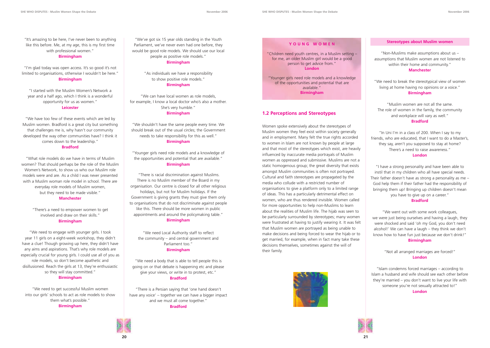"It's amazing to be here, I've never been to anything like this before. Me, at my age, this is my first time with professional women."

#### **Birmingham**

"I'm glad today was open access. It's so good it's not limited to organisations, otherwise I wouldn't be here." **Birmingham**

"I started with the Muslim Women's Network a year and a half ago, which I think is a wonderful opportunity for us as women."

#### **Leicester**

"We have too few of these events which are led by Muslim women. Bradford is a great city but something that challenges me is, why hasn't our community developed the way other communities have? I think it comes down to the leadership."

#### **Bradford**

"What role models do we have in terms of Muslim women? That should perhaps be the role of the Muslim Women's Network, to show us who our Muslim role models were and are. As a child I was never presented with a Muslim woman role model in school. There are everyday role models of Muslim women, but they need to be made visible."

#### **Manchester**

"There's a need to empower women to get involved and draw on their skills." **Birmingham**

"We need to engage with younger girls. I took year 11 girls on a eight-week workshop, they didn't have a clue! Though growing up here, they didn't have any aims and aspirations. That's why role models are especially crucial for young girls. I could use all of you as role models, so don't become apathetic and disillusioned. Reach the girls at 13, they're enthusiastic so they will stay committed."

#### **Birmingham**

"We need to get successful Muslim women into our girls' schools to act as role models to show them what's possible." **Birmingham**

"We've got six 15 year olds standing in the Youth Parliament, we've never even had one before, they would be good role models. We should use our local people as positive role models."

#### **Birmingham**

"As individuals we have a responsibility to show positive role models." **Birmingham**

"We can have local women as role models, for example, I know a local doctor who's also a mother. She's very humble." **Birmingham**

"We shouldn't have the same people every time. We should break out of the usual circles; the Government needs to take responsibility for this as well." **Birmingham**

"Younger girls need role models and a knowledge of the opportunities and potential that are available." **Birmingham**

"There is racial discrimination against Muslims. There is no Muslim member of the Board in my organisation. Our centre is closed for all other religious holidays, but not for Muslim holidays. If the Government is giving grants they must give them only to organisations that do not discriminate against people like this. There should be more women in public appointments and around the policymaking table." **Birmingham**

"We need Local Authority staff to reflect the community – and central government and Parliament too." **Birmingham**

"We need a body that is able to tell people this is going on or that debate is happening etc and please give your views, or write in to protest, etc." **Bradford**

"There is a Persian saying that 'one hand doesn't have any voice' – together we can have a bigger impact and we must all come together." **Bradford**



"Children need youth centres, in a Muslim setting – for me, an older Muslim girl would be a good person to get advice from." **London**

"Younger girls need role models and a knowledge of the opportunities and potential that are available." **Birmingham**

#### **1.2 Perceptions and Stereotypes**

Women spoke extensively about the stereotypes of Muslim women they feel exist within society generally and in employment. Many felt the true rights accorded to women in Islam are not known by people at large and that most of the stereotypes which exist, are heavily influenced by inaccurate media portrayals of Muslim women as oppressed and submissive. Muslims are not a static homogenous group; the great diversity that exists amongst Muslim communities is often not portrayed. Cultural and faith stereotypes are propagated by the media who collude with a restricted number of organisations to give a platform only to a limited range of ideas. This has a particularly detrimental effect on women, who are thus rendered invisible. Women called for more opportunities to help non-Muslims to learn about the realities of Muslim life. The hijab was seen to be particularly surrounded by stereotypes; many women were frustrated at having to justify wearing it. It was felt that Muslim women are portrayed as being unable to make decisions and being forced to wear the hijab or to get married, for example, when in fact many take these decisions themselves, sometimes against the will of their family.





#### **Stereotypes about Muslim women**

"Non-Muslims make assumptions about us – assumptions that Muslim women are not listened to within their home and community." **Manchester**

"We need to break the stereotypical view of women living at home having no opinions or a voice." **Birmingham**

"Muslim women are not all the same. The role of women in the family, the community and workplace will vary as well." **Bradford**

"In Uni I'm in a class of 200. When I say to my friends, who are educated, that I want to do a Master's, they say, aren't you supposed to stay at home? There's a need to raise awareness." **London**

"I have a strong personality and have been able to instil that in my children who all have special needs. Their father doesn't have as strong a personality as me – God help them if their father had the responsibility of bringing them up! Bringing up children doesn't mean you have to give up on a career."

#### **Bradford**

"We went out with some work colleagues, we were just being ourselves and having a laugh, they were shocked and said 'oh my God, you don't need alcohol!' We can have a laugh – they think we don't know how to have fun just because we don't drink!" **Birmingham**

> "Not all arranged marriages are forced!" **London**

"Islam condemns forced marriages – according to Islam a husband and wife should see each other before they're married – you don't want to live your life with someone you're not sexually attracted to!" **London**

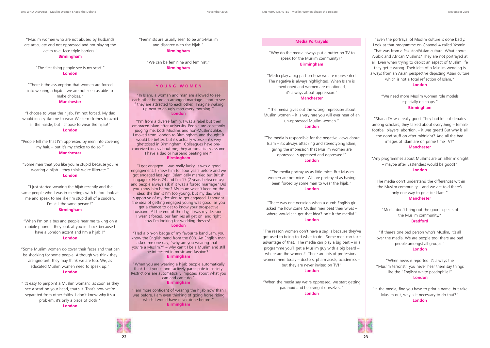**SHE WHO DISPUTES - Muslim Women Shape the Debate November 2006 SHE WHO DISPUTES - Muslim Women Shape the Debate November 2006**

"Muslim women who are not abused by husbands are articulate and not oppressed and not playing the victim role, face triple barriers."

#### **Birmingham**

"The first thing people see is my scarf." **London**

"There is the assumption that women are forced into wearing a hijab – we are not seen as able to make choices." **Manchester**

"I choose to wear the hijab, I'm not forced. My dad would ideally like me to wear Western clothes to avoid all the hassle, but I choose to wear the hijab!" **London**

# "People tell me that I'm oppressed by men into covering my hair. – but it's my choice to do so."

#### **Manchester**

"Some men treat you like you're stupid because you're wearing a hijab – they think we're illiterate.' **London**

"I just started wearing the hijab recently and the same people who I was in meetings with before look at me and speak to me like I'm stupid all of a sudden. I'm still the same person!" **Birmingham**

"When I'm on a bus and people hear me talking on a mobile phone – they look at you in shock because I have a London accent and I'm a hijabi!" **London**

# "There was one occasion when a dumb English girl asked me how come Muslim men beat their wives – where would she get that idea? Isn't it the media!"

"Some Muslim women do cover their faces and that can be shocking for some people. Although we think they are ignorant, they may think we are too. We, as educated Muslim women need to speak up." **London**

"It's easy to pinpoint a Muslim woman; as soon as they see a scarf on your head, that's it. That's how we're separated from other faiths. I don't know why it's a problem, it's only a piece of cloth!"

**London**

"Feminists are usually seen to be anti-Muslim and disagree with the hijab." **Birmingham**

"We can be feminine and feminist." **Birmingham**

#### **Media Portrayals**

"Why do the media always put a nutter on TV to speak for the Muslim community?" **Birmingham**

"Media play a big part on how we are represented. The negative is always highlighted. When Islam is mentioned and women are mentioned, it's always about oppression."

#### **Manchester**

"The media gives out the wrong impression about Muslim women – it is very rare you will ever hear of an un-oppressed Muslim woman." **London**

"The media is responsible for the negative views about Islam – it's always attacking and stereotyping Islam, giving the impression that Muslim women are oppressed, suppressed and depressed!" **London**

"The media portray us as little mice. But Muslim women are not mice. We are portrayed as having been forced by some man to wear the hijab." **London**

#### **London**

"The reason women don't have a say, is because they've got used to being told what to do. Some men can take advantage of that. The media can play a big part  $-$  in a programme you'll get a Muslim guy with a big beard – where are the women? There are lots of professional women here today – doctors, pharmacists, academics – but they are never invited on TV!"

#### **London**

"When the media say we're oppressed, we start getting paranoid and believing it ourselves." **London**





"Even the portrayal of Muslim culture is done badly. Look at that programme on Channel 4 called Yasmin. That was from a Pakistani/Asian culture. What about Arabic and African Muslims? They are not portrayed at all. Even when trying to depict an aspect of Muslim life they get it wrong. Their idea of a Muslim wedding is always from an Asian perspective depicting Asian culture which is not a total reflection of Islam."

#### **London**

"We need more Muslim women role models especially on soaps." **Birmingham**

"Sharia TV was really good. They had lots of debates among scholars, they talked about everything – female football players, abortion, – it was great! But why is all the good stuff on after midnight? And all the bad images of Islam are on prime time TV!" **Manchester**

"Any programmes about Muslims are on after midnight – maybe after Eastenders would be good!" **London**

"The media don't understand the differences within the Muslim community – and we are told there's only one way to practice Islam." **Manchester**

"Media don't bring out the good aspects of the Muslim community." **Bradford**

"If there's one bad person who's Muslim, it's all over the media. We are people too; there are bad people amongst all groups." **London**

"When news is reported it's always the "Muslim terrorist" you never hear them say things like the "English/ white paedophile!" **London**

"In the media, fine you have to print a name, but take Muslim out, why is it necessary to do that?" **London**

#### **YOUNG WOMEN**

"In Islam, a woman and man are allowed to see each other before an arranged marriage – and to see if they are attracted to each other. Imagine waking up next to an ugly man every morning!" **London**

"I'm from a diverse family, I was a rebel but then embraced Islam after university. People are constantly judging me, both Muslims and non-Muslims alike. I moved from London to Birmingham and thought it would be better, but it's actually worse – it's very ghettoised in Birmingham. Colleagues have preconceived ideas about me; they automatically assume I have a dad or husband beating me!" **Birmingham**

"I got engaged – was really lucky, it was a good engagement. I knew him for four years before and we got engaged last April (Islamically married but British engaged). He is 24 and I'm 17 (7 years between us) and people always ask if it was a forced marriage? Did you know him before? My mum wasn't keen on the idea; she thinks I'm too young, but my dad was supportive of my decision to get engaged. I thought the idea of getting engaged young was good, as you get a chance to get to know your prospective husband. At the end of the day, it was my decision: I wasn't forced, our families all get on, and right now I'm looking for wedding dresses!" **London** 

"Had a pin-on badge of my favourite band Jam, you know the English band from the 80's. An English man asked me one day, "why are you wearing that – you're a Muslim?" – why can't I be a Muslim and still be interested in music and fashion?" **Birmingham**

"When you are wearing a hijab people automatically think that you cannot actively participate in society. Restrictions are automatically imposed about what you can and can't do." **Birmingham**

"I am more confident of wearing the hijab now than I was before. I am even thinking of going horse riding which I would have never done before!" **Birmingham**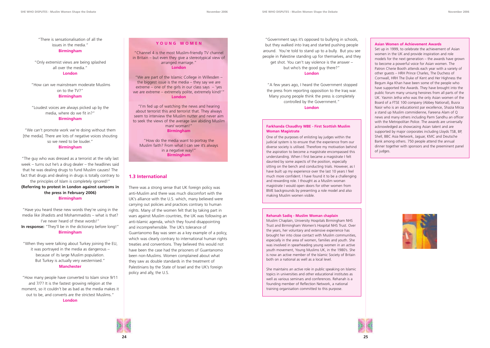"There is sensationalisation of all the issues in the media." **Birmingham**

"Only extremist views are being splashed all over the media." **London**

"How can we mainstream moderate Muslims on to the TV?" **Birmingham**

"Loudest voices are always picked up by the media, where do we fit in?" **Birmingham**

"We can't promote work we're doing without them [the media]. There are lots of negative voices shouting so we need to be louder." **Birmingham**

"The guy who was dressed as a terrorist at the rally last week – turns out he's a drug dealer – the headlines said that he was dealing drugs to fund Muslim causes! The fact that drugs and dealing in drugs is totally contrary to the principles of Islam is completely ignored!" **(Referring to protest in London against cartoons in the press in February 2006) Birmingham**

"Have you heard these new words they're using in the media like Jihadists and Mohammadists – what is that? I've never heard of these words!" **In response:** "They'll be in the dictionary before long!" **Birmingham**

"When they were talking about Turkey joining the EU, it was portrayed in the media as dangerous – because of its large Muslim population. But Turkey is actually very westernised." **Manchester**

"How many people have converted to Islam since 9/11 and 7/7? It is the fastest growing religion at the moment, so it couldn't be as bad as the media makes it out to be, and converts are the strictest Muslims." **London**

#### **Asian Women of Achievement Awards**

Set up in 1999, to celebrate the achievement of Asian women in the UK and provide inspiration and role models for the next generation – the awards have grown to become a powerful voice for Asian women. The Patron Cherie Booth attends each year with a variety of other guests – HRH Prince Charles, The Duchess of Cornwall, HRH The Duke of Kent and Her Highness the Begum Aga Khan have been some of the people who have supported the Awards. They have brought into the public forum many unsung heroines from all parts of the UK. Yasmin Jetha who was the only Asian women of the Board of a FTSE 100 company (Abbey National), Busra Nasir who is an educationist par excellence, Shazia Mirza a stand up Muslim commidienne, Fareena Alam of Q news and many others including Parm Sandhu an officer with the Metropolitan Police. The awards are universally acknowledged as showcasing Asian talent and are supported by major corporates including Lloyds TSB, BP, Shell, BBC Asia Network, Jaguar, KMC and Deutsche Bank among others. 750 people attend the annual dinner together with sponsors and the preeminent panel of judges.



### **1.3 International**

There was a strong sense that UK foreign policy was anti-Muslim and there was much discomfort with the UK's alliance with the U.S. which, many believed were carrying out policies and practices contrary to human rights. Many of the women felt that by taking part in wars against Muslim countries, the UK was following an anti-Islamic agenda, which they found disappointing and incomprehensible. The UK's tolerance of Guantanomo Bay was seen as a key example of a policy, which was clearly contrary to international human rights treaties and conventions. They believed this would not have been the case had the prisoners of Guantanomo been non-Muslims. Women complained about what they saw as double standards in the treatment of Palestinians by the State of Israel and the UK's foreign policy and ally, the U.S.

"Government says it's opposed to bullying in schools, but they walked into Iraq and started pushing people around. You're told to stand up to a bully. But you see people in Palestine standing up for themselves, and they get shot. You can't say violence is the answer – but who's the good guy there?"

**London**

"A few years ago, I heard the Government stopped the press from reporting opposition to the Iraq war. Many young people think the press is completely controlled by the Government." **London**

### **Y OUNG WOMEN**

"Channel 4 is the most Muslim-friendly TV channel in Britain – but even they give a stereotypical view of arranged marriage." **London**

"We are part of the Islamic College in Willesden – the biggest issue is the media – they say we are extreme – one of the girls in our class says  $-$  'yes we are extreme – extremely polite, extremely kind!'" **London**

"I'm fed up of watching the news and hearing about terrorist this and terrorist that. They always seem to interview the Muslim nutter and never aim to seek the views of the average law abiding Muslim man/ woman!" **Birmingham**

"How do the media want to portray the Muslim faith? From what I can see it's always in a negative way!" **Birmingham**

#### **Farkhanda Chaudhry MBE - First Scottish Muslim Woman Magistrate**

One of the purposes of enlisting lay judges within the judicial system is to ensure that the experience from our diverse society is utilised. Therefore my motivation behind the aspiration to become a magistrate encompassed this understanding. When I first became a magistrate I felt daunted by some aspects of the position, especially sitting on the bench and conducting trials. However, as I have built up my experience over the last 10 years I feel much more confident. I have found it to be a challenging and rewarding role. I thought as a Muslim woman magistrate I would open doors for other women from BME backgrounds by presenting a role model and also making Muslim women visible.

#### **Rehanah Sadiq - Muslim Woman chaplain**

Muslim Chaplain, University Hospitals Birmingham NHS Trust and Birmingham Women's Hospital NHS Trust. Over the years, her voluntary and extensive experience has brought her into close contact with Muslim communities, especially in the area of women, families and youth. She was involved in spearheading young women in an active youth movement, Young Muslims UK, in the 1980's. She is now an active member of the Islamic Society of Britain both on a national as well as a local level.

She maintains an active role in public speaking on Islamic topics in universities and other educational institutes as well as various seminars and conferences. Rehanah is a founding member of Reflection Network, a national training organisation committed to this purpose.



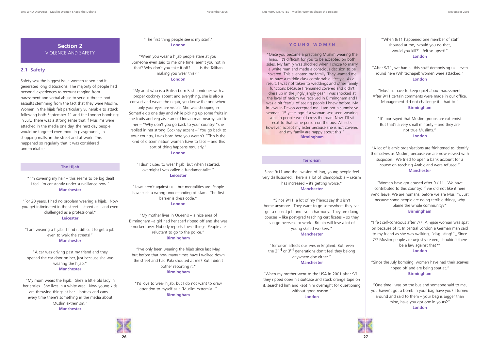"The first thing people see is my scarf." **London**

"When you wear a hijab people stare at you! Someone even said to me one time 'aren't you hot in that? Why don't you take it off? . . . is the Taliban making you wear this?'" **London**

"My aunt who is a British born East Londoner with a proper cockney accent and everything, she is also a convert and wears the niqab, you know the one where only your eyes are visible. She was shopping in Somerfield's one day and while picking up some fruits in the fruits and veg aisle an old Indian man nearby said to her – "Why don't you go back to your country!"she replied in her strong Cockney accent –"You go back to your country, I was born here you weren't!"This is the kind of discrimination women have to face – and this sort of thing happens regularly."

#### **London**

"I didn't used to wear hijab, but when I started, overnight I was called a fundamentalist." **Leicester**

"Laws aren't against us – but mentalities are. People have such a wrong understanding of Islam. The first barrier is dress code." **London**

"My mother lives in Queen's – a nice area of Birmingham –a girl had her scarf ripped off and she was knocked over. Nobody reports these things. People are reluctant to go to the police." **Birmingham**

"I've only been wearing the hijab since last May, but before that how many times have I walked down the street and had Paki shouted at me? But I didn't bother reporting it." **Birmingham**

"I'd love to wear hijab, but I do not want to draw attention to myself as a 'Muslim extremist'." **Birmingham**

#### **Terrorism**

Since 9/11 and the invasion of Iraq, young people feel very disillusioned. There is a lot of Islamophobia – racism has increased – it's getting worse." **Manchester**

"Since 9/11, a lot of my friends say this isn't home anymore. They want to go somewhere they can get a decent job and live in harmony. They are doing courses – like post-grad teaching certificates – so they can go overseas to work. Britain will lose a lot of young skilled workers." **Manchester**

"Terrorism affects our lives in England. But, even the 2<sup>nd</sup> or 3<sup>rd</sup> generations don't feel they belong anywhere else either." **Manchester**

"When my brother went to the USA in 2001 after 9/11 they ripped open his suitcase and stuck orange tape on it, searched him and kept him overnight for questioning without good reason."

#### **London**





## **Section 2** VIOLENCE AND SAFETY

## **2.1 Safety**

Safety was the biggest issue women raised and it generated long discussions. The majority of people had personal experiences to recount ranging from harassment and verbal abuse to serious threats and assaults stemming from the fact that they were Muslim. Women in the hijab felt particularly vulnerable to attack following both September 11 and the London bombings in July. There was a strong sense that if Muslims were attacked in the media one day, the next day people would be targeted even more in playgrounds, in shopping malls, in the street and at work. This happened so regularly that it was considered unremarkable.

#### **The Hijab**

"I'm covering my hair – this seems to be big deal! I feel I'm constantly under surveillance now." **Manchester**

"For 20 years, I had no problem wearing a hijab. Now you get intimidated in the street – stared at – and even challenged as a professional." **Leicester**

"I am wearing a hijab: I find it difficult to get a job, even to walk the streets!" **Manchester**

"A car was driving past my friend and they opened the car door on her, just because she was wearing the hijab." **Manchester**

"My mum wears the hijab. She's a little old lady in her sixties. She lives in a white area. Now young kids are throwing things at her – bottles and cans – every time there's something in the media about Muslim extremism." **Manchester**

#### **Y OUNG WOMEN**

"Once you become a practising Muslim wearing the hijab, it's difficult for you to be accepted on both sides. My family was shocked when I chose to marry a white man and made a conscious decision to be covered. This alienated my family. They wanted me to have a middle class comfortable lifestyle. As a result, I was not taken to weddings and other family functions because I remained covered and didn't dress up in the jingly jangly gear. I was shocked at the level of racism we received in Birmingham and I was a bit fearful of seeing people I knew before. My in-laws in Devon accepted me. I am not a submissive woman. 15 years ago if a woman was seen wearing a hijab people would cross the road. Now, I'll sit next to that same person on the bus. All sides however, accept my sister because she is not covered and my family are happy about this!" **Birmingham**

"When 9/11 happened one member of staff shouted at me, 'would you do that, would you kill?' I felt so upset!" **London**

"After 9/11, we had all this stuff demonising us – even round here (Whitechapel) women were attacked." **London**

"Muslims have to keep quiet about harassment. After 9/11 certain comments were made in our office. Management did not challenge it: I had to." **Birmingham**

"It's portrayed that Muslim groups are extremist. But that's a very small minority – and they are not true Muslims." **London**

"A lot of Islamic organisations are frightened to identify themselves as Muslim, because we are now viewed with suspicion. We tried to open a bank account for a course on teaching Arabic and were refused." **Manchester**

"Women have got abused after 9 / 11. We have contributed to this country: if we did not like it here we'd leave. We are humans, before we are Muslim. Just because some people are doing terrible things, why blame the whole community?"

#### **Birmingham**

"I felt self-conscious after 7/7. A hijabi woman was spat on because of it. In central London a German man said to my friend as she was walking, "disgusting!"\_ Since 7/7 Muslim people are unjustly feared, shouldn't there be a law against that?" **London**

"Since the July bombing, women have had their scarves ripped off and are being spat at." **Birmingham**

"One time I was on the bus and someone said to me, you haven't got a bomb in your bag have you? I turned around and said to them – your bag is bigger than mine, have you got one in yours?" **London**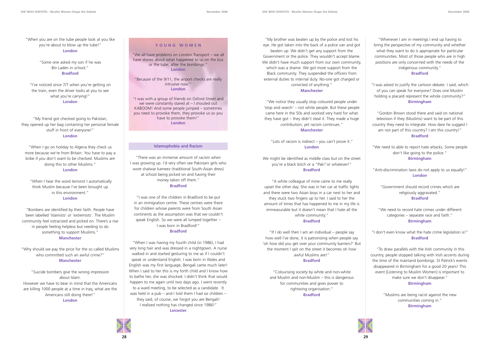"My brother was beaten up by the police and lost his eye. He got taken into the back of a police van and got beaten up. We didn't get any support from the Government or the police. They wouldn't accept blame. We didn't have much support from our own community, which was a shame. We got more support from the Black community. They suspended the officers from external duties to internal duty. No-one got charged or convicted of anything."

#### **Manchester**

"We notice they usually stop coloured people under 'stop and search' – not white people. But these people came here in the 50s and worked very hard for what they have got – they didn't steal it. They made a huge contribution; yet racism continues."

#### **Manchester**

"Lots of racism is indirect – you can't prove it." **London**

We might be identified as middle class but on the street you're a black bitch or a "Paki"or whatever!" **Bradford**

"A white colleague of mine came to me really upset the other day. She was in her car at traffic lights and there were two Asian boys in a car next to her and they stuck two fingers up to her. I said to her the amount of times that has happened to me in my life is immeasurable but it doesn't mean that I hate all the white community." **Bradford**

"If I do well then I am an individual – people say how well I've done, it is patronising when people say 'oh how did you get over your community barriers?' But the moment I spit on the street it becomes oh how awful Muslims are!" **Bradford**

"Colourising society by white and non-white and Muslim and non-Muslim – this is dangerous for communities and gives power to rightwing organisation." **Bradford**



"Whenever I am in meetings I end up having to bring the perspective of my community and whether what they want to do is appropriate for particular communities. Most of those people who are in high positions are only concerned with the needs of the indigenous community."

#### **Bradford**

"I was asked to justify the cartoon debate. I said, which of you can speak for everyone? Does one Muslim holding a placard represent the whole community?" **Birmingham**

"Gordon Brown stood there and said on national television if they (Muslims) want to be part of this country they need to integrate. How dare he suggest I am not part of this country? I am this country!" **Bradford**

"We need to able to report hate attacks. Some people don't like going to the police." **Birmingham**

"Anti-discrimination laws do not apply to us equally!" **London**

"Government should record crimes which are religiously aggravated." **Bradford**

"We need to record hate crimes under different categories – separate race and faith." **Birmingham**

"I don't even know what the hate crime legislation is!" **Bradford**

"To draw parallels with the Irish community in this country, people stopped talking with Irish accents during the time of the mainland bombings. St Patrick's events disappeared in Birmingham for a good 20 years! This event [Listening to Muslim Women] is important to make sure we don't disappear." **Birmingham**

> "Muslims are being racist against the new communities coming in." **Birmingham**



#### **Islamophobia and Racism**

"There was an immense amount of racism when I was growing up. I'd very often see Pakistani girls who wore shalwar kameez (traditional South-Asian dress) at school being picked on and having their money taken off them." **Bradford**

"I was one of the children in Bradford to be put in an immigration centre. These centres were there for children whose parents were from South Asian continents as the assumption was that we couldn't speak English. So we were all lumped together – I was born in Bradford!" **Bradford**

"When I was having my fourth child (in 1986), I had very long hair and was dressed in a nightgown. A nurse walked in and started gesturing to me as if I couldn't speak or understand English. I was born in Wales and English was my first language, Bengali came much later! When I said to her this is my forth child and I know how to bathe her, she was shocked. I didn't think that would happen to me again until two days ago. I went recently to a ward meeting, to be selected as a candidate. It was held in a pub – and I told them I had six children – they said, of course, we forgot you are Bengali! I realised nothing has changed since 1986!" **Leicester**

"When you are on the tube people look at you like you're about to blow up the tube!" **London**

> "Some one asked my son if he was Bin Laden in school." **Bradford**

"I've noticed since 7/7 when you're getting on the train, even the driver looks at you to see what you're carrying!" **London**

"My friend got checked going to Pakistan, they opened up her bag containing her personal female stuff in front of everyone!" **London**

"When I go on holiday to Algeria they check us more because we're from Britain. You have to pay a bribe if you don't want to be checked. Muslims are doing this to other Muslims." **London**

"When I hear the word terrorist I automatically think Muslim because I've been brought up in this environment." **London**

"Bombers are identified by their faith. People have been labelled 'Islamists' or 'extremists'. The Muslim community feel ostracized and picked on. There's a rise in people feeling helpless but needing to do something to support Muslims." **Manchester**

"Why should we pay the price for the so called Muslims who committed such an awful crime?" **Manchester**

"Suicide bombers give the wrong impression about Islam. However we have to bear in mind that the Americans are killing 1000 people at a time in Iraq, what are the Americans still doing there!"

**London**

#### **YOUNG WOMEN**

"We all have problems on London Transport – we all have stories about what happened to us on the bus or the tube, after the bombings." **London**

"Because of the 9/11, the airport checks are really intrusive now." **London**

"I was with a group of friends on Oxford Street and we were constantly stared at – I shouted out KABOOM! And some people jumped – sometimes you need to provoke them, they provoke us so you have to provoke them!" **London**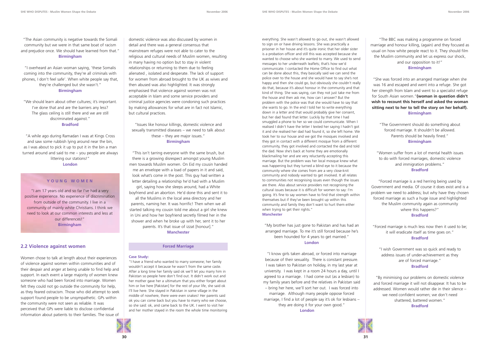everything. She wasn't allowed to go out, she wasn't allowed to sign on or have driving lessons. She was practically a prisoner in her house and it's quite ironic that her older sister is a probation officer and still this was accepted because she wanted to choose who she wanted to marry. We used to send messages to her underneath leaflets; that's how we'd communicate. I contacted the Home Office to find out what can be done about this, they basically said we can send the police over to the house and she would have to say she's not happy and then she could go, but obviously she couldn't really do that, because it's about honour in the community and that kind of thing. She was saying, can they not just take me from the house and then ask me, how can I answer? But the problem with the police was that she would have to say that she wants to go. In the end I told her to write everything down in a letter and that would probably give her consent, but her dad found that letter. Luckily by that time I had smuggled a phone to her so we could communicate. When I realised I didn't have the letter I texted her saying I hadn't got it and she realised her dad had found it, so she left home. We took her to our house and we got the mosques involved and they got in contact with a different mosque from a different community, they got involved and contacted the dad and told the dad. Now she's back at home they are emotionally blackmailing her and are very reluctantly accepting this marriage. But the problem was her local mosque knew what was happening but they turned a blind eye to it because the community where she comes from are a very close-knit community and nobody wanted to get involved. It all relates to communities not recognising issues even though the issues are there. Also about service providers not recognising the cultural issues because it is difficult for women to say: I'm going. It's fine to say women have to find that strength within themselves but if they've been brought up within this community and family they don't want to hurt them either when trying to get their rights." **Manchester** 

"My brother has just gone to Pakistan and has had an arranged marriage. To me it's still forced because he's been hounded for 4 years to get married." **London**

"I know girls taken abroad, or forced into marriage because of their sexuality. There is constant pressure. I was taken to Pakistan on holiday, in my last year at university. I was kept in a room 24 hours a day, until I agreed to a marriage. I had come out (as a lesbian) to my family years before and the relatives in Pakistan said – bring her here, we'll sort her out. I was forced into marriage. Although many people oppose forced marriage, I find a lot of people say it's ok for lesbians – they are doing it for your own good." **London**



"The Asian community is negative towards the Somali community but we were in that same boat of racism and prejudice once. We should have learned from that." **Birmingham**

#### "I overheard an Asian woman saying, 'these Somalis coming into the community, they're all criminals with phones, I don't feel safe'. When white people say that, they're challenged but she wasn't." **Birmingham**

"We should learn about other cultures; it's important. I've done that and are the barriers any less? The glass ceiling is still there and we are still discriminated against." **Bradford**

"A while ago during Ramadan I was at Kings Cross and saw some rubbish lying around near the bin, as I was about to pick it up to put it in the bin a man turned around and said to me – you people are always littering our stations!" **London**

domestic violence was also discussed by women in detail and there was a general consensus that mainstream refuges were not able to cater to the religious and cultural needs of Muslim women, resulting in many having no option but to stay in violent relationships or returning to them due to feeling alienated , isolated and desperate. The lack of support for women from abroad brought to the UK as wives and then abused was also highlighted. It was strongly emphasised that violence against women was not acceptable in Islam and some service providers and criminal justice agencies were condoning such practices by making allowances for what are in fact not Islamic, but cultural practices.

"Issues like honour killings, domestic violence and sexually transmitted diseases – we need to talk about these – they are major issues." **Birmingham**

"This isn't tarring everyone with the same brush, but there is a growing disrespect amongst young Muslim men towards Muslim women. On Eid my cousin handed me an envelope with a load of papers in it and said, look what's come in the post. This guy had written a letter detailing a relationship he'd had with a Muslim girl, saying how she sleeps around, had a White boyfriend and an abortion. He'd done this and sent it to all the Muslims in the local area directory and her parents, naming her. It was horrific! Then when we all started talking my cousin told me about a girl she knew in Uni and how her boyfriend secretly filmed her in the shower and when he broke up with her, sent it to her parents. It's that issue of izzat [honour]." **Manchester**

#### **Forced Marriage**

#### **Case Study:**

"I have a friend who wanted to marry someone; her family wouldn't accept it because he wasn't from the same caste. After a long time her family said ok we'll let you marry him in Pakistan so people here don't find out. It didn't work out and her mother gave her a ultimatum that you either forget about him or live here [Pakistan] for the rest of your life, she said ok I'll live here. She stayed in Pakistan in some village in the middle of nowhere, there were even snakes! Her parents said ok you can come back but you have to marry who we choose, so she said: ok, and came back to the UK. I went to visit her and her mother stayed in the room the whole time monitoring



"The BBC was making a programme on forced marriage and honour killing, (again) and they focused as usual on how white people react to it. They should film the Muslim community and let us express our shock, and our opposition to it!"

#### **Birmingham**

"She was forced into an arranged marriage when she was 16 and escaped and went into a refuge. She got her strength from Islam and went to a specialist refuge for South Asian women."**(woman in question didn't wish to recount this herself and asked the woman sitting next to her to tell the story on her behalf). Birmingham**

"The Government should do something about forced marriage. It shouldn't be allowed. Parents should be heavily fined." **Birmingham**

"Women suffer from a lot of mental health issues to do with forced marriages, domestic violence and immigration problems." **Bradford**

"Forced marriage is a red herring being used by Government and media. Of course it does exist and is a problem we need to address; but why have they chosen forced marriage as such a huge issue and highlighted the Muslim community again as community where this happens?" **Bradford**

"Forced marriage is much less now then it used to be; it will eradicate itself as time goes on." **Bradford**

"I wish Government was so quick and ready to address issues of under-achievement as they are of forced marriage." **Bradford**

"By minimising our problems on domestic violence and forced marriage it will not disappear. It has to be addressed. Women would rather die in their silence – we need confident women; we don't need shattered, battered women." **Bradford**

#### **YOUNG WOMEN**

"I am 17 years old and so far I've had a very positive experience. No experience of discrimination from outside of the community. I live in a community of mainly white Christians. I think we need to look at our common interests and less at our differences!" **Birmingham**

#### **2.2 Violence against women**

Women chose to talk at length about their experiences of violence against women within communities and of their despair and anger at being unable to find help and support. In each event a large majority of women knew someone who had been forced into marriage. Women felt they could not go outside the community for help, as they feared ostracism. Those who did attempt to seek support found people to be unsympathetic. GPs within the community were not seen as reliable. It was perceived that GPs were liable to disclose confidential information about patients to their families. The issue of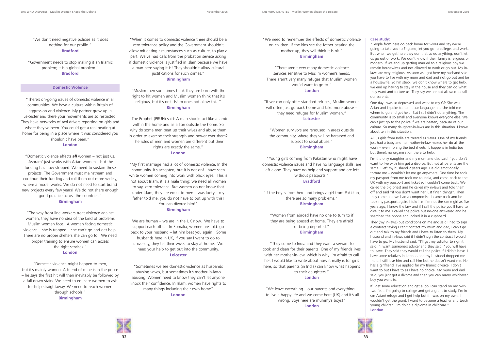"We don't need negative policies as it does nothing for our profile." **Bradford**

"Government needs to stop making it an Islamic problem; it is a global problem." **Bradford**

#### **Domestic Violence**

"There's on-going issues of domestic violence in all communities. We have a culture within Britain of aggression and violence. My partner grew up in Leicester and there your movements are so restricted. They have networks of taxi drivers reporting on girls and where they've been. You could get a real beating at home for being in a place where it was considered you shouldn't have been."

#### **London**

"Domestic violence affects *all* women – not just us. 'Ashram' just works with Asian women – but the funding has now stopped. We need to sustain these projects. The Government must mainstream and continue their funding and roll them out more widely, where a model works. We do not need to start brand new projects every few years! We do not share enough good practice across the countries."

#### **Birmingham**

"The way front line workers treat violence against women, they have no idea of the kind of problems Muslim women face. A woman facing domestic violence – she is trapped – she can't go and get help. There are no proper shelters she can go to. We need proper training to ensure women can access the right services." **London**

"Domestic violence might happen to men, but it's mainly women. A friend of mine is in the police – he says the first hit will then inevitably be followed by a fall down stairs. We need to educate women to ask for help straightaway. We need to reach women through schools." **Birmingham**

"When it comes to domestic violence there should be a zero tolerance policy and the Government shouldn't allow mitigating circumstances such as culture, to play a part. We've had calls from the probation service asking if domestic violence is justified in Islam because we have a man here saying it is! They shouldn't allow cultural justifications for such crimes." **Birmingham**

"Muslim men sometimes think they are born with the right to hit women and Muslim women think that it's religious, but it's not –Islam does not allow this!" **Birmingham**

"The Prophet (PBUH) said: A man should act like a lamb within the home and as a lion outside the home. So why do some men beat up their wives and abuse them in order to exercise their strength and power over them? The roles of men and women are different but their rights are exactly the same." **London**

"My first marriage had a lot of domestic violence. In the community, it's accepted, but it is not on! I have seen white women coming into work with black eyes. This is not about Islam, it is a male thing: we need all women to say, zero tolerance. But women do not know that under Islam, they are equal to men. I was lucky – my father told me, you do not have to put up with this! You can divorce him!" **Birmingham**

We are human – we are in the UK now. We have to support each other. In Somalia, women are told: go back to your husband – let him beat you again! Some husbands here in UK, if you say I want to go to university, they tell their wives to stay at home. We need your help to get out into the community. **Leicester**

"Sometimes we see domestic violence as husbands abusing wives, but sometimes it's mother-in-laws abusing. Women need to know they can't let anyone knock their confidence. In Islam, women have rights to many things including their own home" **London**

"We need to remember the effects of domestic violence on children. If the kids see the father beating the mother up, they will think it is ok."

#### **Birmingham**

"There aren't very many domestic violence services sensitive to Muslim women's needs. There aren't very many refuges that Muslim women would want to go to."

#### **London**

"If we can only offer standard refuges, Muslim women will often just go back home and take more abuse they need refuges for Muslim women." **Leicester**

"Women survivors are rehoused in areas outside the community, where they will be harassed and subject to racial abuse."

#### **Birmingham**

"Young girls coming from Pakistan who might have domestic violence issues and have no language skills, are left alone. They have no help and support and are left without passports." **Bradford**

"If the boy is from here and brings a girl from Pakistan,

there are so many problems."

#### **Birmingham**

"Women from abroad have no one to turn to if they are being abused at home. They are afraid of being deported." **Birmingham**

"They come to India and they want a servant to cook and clean for their parents. One of my friends lives with her mother-in-law, which is why I'm afraid to call her. I would like to write about how it really is for girls here, so that parents (in India) can know what happens to their daughters."

**London**

"We leave everything – our parents and everything – to live a happy life and we come here [UK] and it's all wrong. Boys here are mummy's boys!" **London**



#### **Case study:**

"People from here go back home for wives and say we're going to take you to England, let you go to college, and work. But when we get here they don't let us do anything, don't let us go out or work. We don't know if their family is religious or modern. If we end up getting married to a religious boy we remain housewives and not allowed to work or go out. My inlaws are very religious. As soon as I got here my husband said you have to live with my mum and dad and not go out and be a housewife. So I'm stuck, we don't know where to get help, we end up having to stay in the house and they can do what they want and torture us. They say we are not allowed to call our parents.

One day I was so depressed and went to my GP. She was Asian and I spoke to her in our language and she told me where to go and get help. But I still didn't do anything. The community is so small and everyone knows everyone else. We can't just go to the police if we are beaten, because of our culture. So many daughter-in-laws are in this situation. I know about ten in this situation.

All us girls from India are treated as slaves. One of my friends just had a baby and her mother-in-law makes her do all the work – even ironing the bed sheets. It happens in India too but there's no organisation there to help.

I'm the only daughter and my mum and dad said if you don't want to live with him get a divorce. But not all parents are the same. I left my husband 2 years ago. He did emotionally torture me – wouldn't let me go anywhere. One time he took my passport from me took me to India, and came back to the UK with my passport and ticket so I couldn't come back. We called the big priest and he called my in-laws and told them off and said "if you don't want her just finish things". Then they came and we had a compromise. I came back and he took my passport again. I told him I'm not the same girl as five years ago, I know the law and if I call the police you'll have to give it to me. I called the police but no-one answered and he snatched the phone and locked it in a cupboard.

They (my in-laws) put conditions on me and said I had to sign a contract saying I can't contact my mum and dad, I can't go out and talk to my friends and I have to listen to them. My husband and in-laws said if I didn't sign the contract I would have to go. My husband said, "I'll get my solicitor to sign it. I said, "I want someone's advice"and they said, "you will have to leave. They said they would call the police if I didn't leave. I have some relatives in London and my husband dropped me there. I still love him and call him but he doesn't want me. He has a girlfriend. I've applied for my Islamic divorce, I don't want to but I have to as I have no choice. My mum and dad said, you just get a divorce and then you can marry whichever boy you want to.

If I get some education and get a job I can stand on my own two feet. I'm going to college and get a grant to study. I'm in (an Asian) refuge and I get help but if I was on my own, I wouldn't get the grant. I want to become a teacher and teach young children. I'm doing a diploma in childcare." **London**

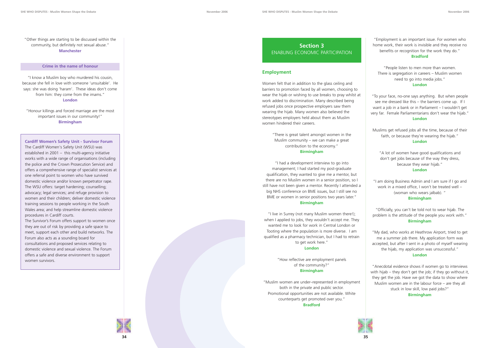**34 35**

"Other things are starting to be discussed within the community, but definitely not sexual abuse." **Manchester**

#### **Crime in the name of honour**

"I know a Muslim boy who murdered his cousin, because she fell in love with someone 'unsuitable'. He says: she was doing 'haram'. These ideas don't come from him: they come from the imams." **London**

"Honour killings and forced marriage are the most important issues in our community!" **Birmingham**

"Employment is an important issue. For women who home work, their work is invisible and they receive no benefits or recognition for the work they do."

#### **Bradford**

"People listen to men more than women. There is segregation in careers – Muslim women need to go into media jobs." **London**

"To your face, no-one says anything. But when people see me dressed like this – the barriers come up. If I want a job in a bank or in Parliament – I wouldn't get very far. Female Parliamentarians don't wear the hijab." **London**

Muslims get refused jobs all the time, because of their faith, or because they're wearing the hijab.' **London**

"A lot of women have good qualifications and don't get jobs because of the way they dress, because they wear hijab." **London**

"I am doing Business Admin and I am sure if I go and work in a mixed office, I won't be treated well – (woman who wears jalbab). "

**Birmingham**

"Officially, you can't be told not to wear hijab. The problem is the attitude of the people you work with." **Birmingham**

"My dad, who works at Heathrow Airport, tried to get me a summer job there. My application form was accepted, but after I sent in a photo of myself wearing the hijab, my application was unsuccessful." **London**

"Anecdotal evidence shows if women go to interviews with hijab – they don't get the job; if they go without it, they get the job. Have we got the data to show where Muslim women are in the labour force – are they all stuck in low skill, low paid jobs?" **Birmingham**



**Cardiff Women's Safety Unit - Survivor Forum** The Cardiff Women's Safety Unit (WSU) was established in 2001 – this multi-agency initiative works with a wide range of organisations (including the police and the Crown Prosecution Service) and offers a comprehensive range of specialist services at one referral point to women who have survived domestic violence and/or known perpetrator rape. The WSU offers: target hardening; counselling; advocacy; legal services; and refuge provision to women and their children; deliver domestic violence training sessions to people working in the South Wales area; and help streamline domestic violence procedures in Cardiff courts.

The Survivor's Forum offers support to women once they are out of risk by providing a safe space to meet, support each other and build networks. The Forum also acts as a sounding board for consultations and proposed services relating to domestic violence and sexual violence. The Forum offers a safe and diverse environment to support women survivors.

## **Section 3** ENABLING ECONOMIC PARTICIPATION

#### **Employment**

Women felt that in addition to the glass ceiling and barriers to promotion faced by all women, choosing to wear the hijab or wishing to use breaks to pray whilst at work added to discrimination. Many described being refused jobs once prospective employers saw them wearing the hijab. Many women also believed the stereotypes employers held about them as Muslim women hindered their careers.

> "There is great talent amongst women in the Muslim community – we can make a great contribution to the economy." **Birmingham**

"I had a development interview to go into management; I had started my post-graduate qualification, they wanted to give me a mentor, but there are no Muslim women in a senior position, so I still have not been given a mentor. Recently I attended a big NHS conference on BME issues, but I still see no BME or women in senior positions two years later." **Birmingham**

"I live in Surrey (not many Muslim women there!); when I applied to jobs, they wouldn't accept me. They wanted me to look for work in Central London or Tooting where the population is more diverse. I am qualified as a pharmacy technician, but I had to retrain to get work here."

#### **London**

"How reflective are employment panels of the community?" **Birmingham**

"Muslim women are under–represented in employment both in the private and public sector. Promotional opportunities are not available. White counterparts get promoted over you." **Bradford**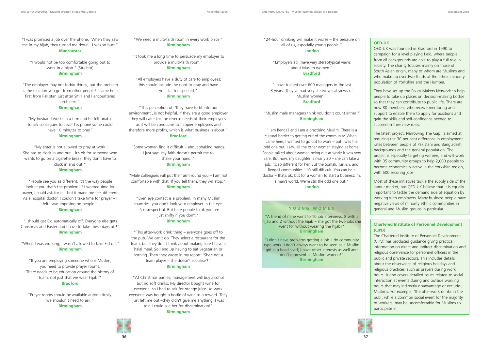"I was promised a job over the phone. When they saw me in my hijab, they turned me down. I was so hurt." **Manchester**

"I would not be too comfortable going out to work in a hijab." (Student) **Birmingham**

"The employer may not forbid things, but the problem is the reaction you get from other people! I came here first from Pakistan just after 9/11 and I encountered problems."

#### **Birmingham**

"My husband works in a firm and he felt unable to ask colleagues to cover his phone so he could have 10 minutes to pray." **Birmingham**

"My sister is not allowed to pray at work. She has to clock in and out – it's ok for someone who wants to go on a cigarette break; they don't have to clock in and out!" **Birmingham**

"People see you as different. It's the way people look at you that's the problem. If I wanted time for prayer, I could ask for it – but it made me feel different. As a hospital doctor, I couldn't take time for prayer – I felt I was imposing on people." **Birmingham**

"I should get Eid automatically off. Everyone else gets Christmas and Easter and I have to take these days off!" **Birmingham**

"When I was working, I wasn't allowed to take Eid off." **Birmingham**

"If you are employing someone who is Muslim, you need to provide prayer rooms. There needs to be education around the history of Islam, not just that we wear hijab!" **Bradford**

"Prayer rooms should be available automatically: we shouldn't need to ask." **Birmingham**

"24-hour drinking will make it worse – the pressure on all of us, especially young people." **London**

"Employers still have very stereotypical views about Muslim women." **Bradford**

"I have trained over 600 managers in the last 3 years. They've had very stereotypical views of Muslim women." **Bradford**

"Muslim male managers think you don't count either!" **Birmingham**

"I am Bengali and I am a practising Muslim. There is a cultural barrier to getting out of the community. When I came here, I wanted to go out to work – but I was the odd one out; I saw all the other women staying at home. People talked about women being out at work: it was very rare. But now, my daughter is nearly 30 – she can take a job. It's so different for her. But the Somali, Turkish, and Bengali communities – it's still difficult. You can be a doctor – that's ok, but for a woman to start a business: it's a man's world. We're still the odd one out!" **London**

#### **QED-UK**

QED-UK was founded in Bradford in 1990 to campaign for a level playing field, where people from all backgrounds are able to play a full role in society. The charity focuses mainly on those of South Asian origin, many of whom are Muslims and who make up over two-thirds of the ethnic minority population of Yorkshire and the Humber.

They have set up the Policy Makers Network to help people to take up places on decision-making bodies so that they can contribute to public life. There are now 80 members, who receive mentoring and support to enable them to apply for positions and gain the skills and self-confidence needed to succeed in their new roles.

The latest project, Narrowing The Gap, is aimed at reducing the 30 per cent difference in employment rates between people of Pakistani and Bangladeshi backgrounds and the general population. The project is especially targeting women, and will work with 35 community groups to help 2,000 people to become economically active in the Yorkshire region, with 500 securing jobs.

Most of these initiatives tackle the supply side of the labour market, but QED-UK believe that it is equally important to tackle the demand side of equation by working with employers. Many business people have negative views of minority ethnic communities in general and Muslim groups in particular.

#### **Chartered Institute of Personnel Development (CIPD)**

The Chartered Institute of Personnel Development (CIPD) has produced guidance giving practical information on direct and indirect discrimination and religious observance for personnel officers in the public and private sectors. This includes details about the observance of religious holidays and religious practices, such as prayers during work hours. It also covers detailed issues related to social interaction at events during and outside working hours that may indirectly disadvantage or exclude Muslims. For example, 'the after-work drinks in the pub', while a common social event for the majority of workers, may be uncomfortable for Muslims to participate in.



"We need a multi-faith room in every work place." **Birmingham**

"It took me a long time to persuade my employer to provide a multi-faith room." **Birmingham**

"All employers have a duty of care to employees; this should include the right to pray and have your faith respected."

#### **Birmingham**

"This perception of, 'they have to fit into our environment', is not helpful. If they are a good employer they will cater for the diverse needs of their employees as it will be conducive to happier employees and therefore more profits, which is what business is about." **Bradford**

"Some women find it difficult – about shaking hands. I just say: 'my faith doesn't permit me to shake your hand'." **Birmingham**

"Male colleagues will put their arm round you – I am not comfortable with that. If you tell them, they will stop." **Birmingham**

"Even eye contact is a problem. In many Muslim countries, you don't look your employer in the eye: it's disrespectful. But here people think you are just shifty if you don't." **Birmingham**

"This after-work drink thing – everyone goes off to the pub. We can't go. They select a restaurant for the team, but they don't think about making sure I have a halal meal. So I end up having to eat vegetarian or nothing. Then they wrote in my report: 'She's not a team player – she doesn't socialise'!" **Birmingham**

"At Christmas parties, management will buy alcohol but no soft drinks. My director bought wine for everyone, so I had to ask for orange juice. At work everyone was bought a bottle of wine as a reward. They just left me out -they didn't give me anything. I was told I could sue her for discrimination!" **Birmingham**



#### **YOUNG WOMEN**

"A friend of mine went to 10 job interviews, 8 with a hijab and 2 without the hijab – she got the two jobs she went for without wearing the hijab!" **Birmingham**

"I didn't have problems getting a job. I do community type work. I don't always want to be seen as a Muslim girl in a head scarf; I have other interests as well and don't represent all Muslim women!" **Birmingham**

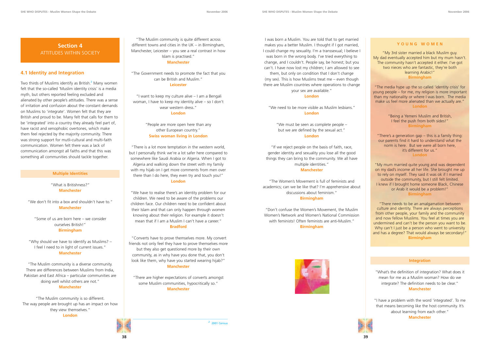## **Section 4** ATTITUDES WITHIN SOCIETY

#### **4.1 Identity and Integration**

Two thirds of Muslims identify as British.<sup>2</sup> Many women felt that the so-called 'Muslim identity crisis' is a media myth, but others reported feeling excluded and alienated by other people's attitudes. There was a sense of irritation and confusion about the constant demands on Muslims to 'integrate'. Women felt that they are British and proud to be. Many felt that calls for them to be 'integrated' into a country they already feel part of, have racist and xenophobic overtones, which make them feel rejected by the majority community. There was strong support for mutli-cultural and multi-faith communication. Women felt there was a lack of communication amongst all faiths and that this was something all communities should tackle together.

#### **Multiple Identities**

"What is Britishness?" **Manchester**

"We don't fit into a box and shouldn't have to." **Manchester**

"Some of us are born here – we consider ourselves British!" **Birmingham**

"Why should we have to identify as Muslims? – I feel I need to in light of current issues." **Manchester**

"The Muslim community is a diverse community. There are differences between Muslims from India, Pakistan and East Africa – particular communities are doing well whilst others are not." **Manchester**

"The Muslim community is so different. The way people are brought up has an impact on how they view themselves." **London**

"The Muslim community is quite different across different towns and cities in the UK – in Birmingham, Manchester, Leicester – you see a real contrast in how Islam is practised." **Manchester**

"The Government needs to promote the fact that you can be British and Muslim." **Leicester**

"I want to keep my culture alive – I am a Bengali woman, I have to keep my identity alive – so I don't wear western dress." **London**

"People are more open here than any other European country." **Swiss woman living in London**

"There is a lot more temptation in the western world, but I personally think we're a lot safer here compared to somewhere like Saudi Arabia or Algeria. When I got to Algeria and walking down the street with my family with my hijab on I get more comments from men over there than I do here, they even try and touch you!" **London**

"We have to realise there's an identity problem for our children. We need to be aware of the problems our children face. Our children need to be confident about their Islam and that can only happen through women knowing about their religion. For example it doesn't mean that if I am a Muslim I can't have a career." **Bradford**

"Converts have to prove themselves more. My convert friends not only feel they have to prove themselves more but they also get questioned more by their own community, as in why have you done that, you don't look like them, why have you started wearing hijab?" **Manchester**

"There are higher expectations of converts amongst some Muslim communities, hypocritically so." **Manchester**

I was born a Muslim. You are told that to get married makes you a better Muslim. I thought if I got married. I could change my sexuality. I'm a transsexual; I believe I was born in the wrong body. I've tried everything to change, and I couldn't. People say, be honest; but you can't. I have now lost my children; I am allowed to see them, but only on condition that I don't change (my sex). This is how Muslims treat me – even though there are Muslim countries where operations to change your sex are available."

#### **London**

"We need to be more visible as Muslim lesbians." **London**

> "We must be seen as complete people – but we are defined by the sexual act." **London**

"If we reject people on the basis of faith, race, gender identity and sexuality you lose all the good things they can bring to the community. We all have multiple identities." **Manchester**

"The Women's Movement is full of feminists and academics; can we be like that? I'm apprehensive about discussions about feminism." **Birmingham**

"Don't confuse the Women's Movement, the Muslim Women's Network and Women's National Commission with feminists! Often feminists are anti-Muslim." **Birmingham**





#### **YOUNG WOMEN**

"My 3rd sister married a black Muslim guy. My dad eventually accepted him but my mum hasn't. The community hasn't accepted it either. I've got two nieces who are fantastic, they're both learning Arabic!" **Birmingham**

"The media hype up the so called 'identity crisis' for young people – for me, my religion is more important than my nationality or where I was born. The media make us feel more alienated than we actually are." **London**

> "Being a Yemeni Muslim and British, I feel the push from both sides!" **Birmingham**

"There's a generation gap – this is a family thing: our parents find it hard to understand what the norm is here. But we were all born here, it's different for us." **London**

"My mum married quite young and was dependent on my dad's income all her life. She brought me up to rely on myself. They said it was ok if I married outside the community, but I still felt limited. I knew if I brought home someone Black, Chinese or Arab it would be a problem!" **Birmingham**

"There needs to be an amalgamation between culture and identity. There are always perceptions from other people, your family and the community and now fellow Muslims. You feel at times you are undermined and can't be the person you want to be. Why can't I just be a person who went to university and has a degree? That would always be secondary!" **Birmingham**

#### **Integration**

"What's the definition of integration? What does it mean for me as a Muslim woman? How do we integrate? The definition needs to be clear." **Manchester**

"I have a problem with the word 'integrated'. To me that means becoming like the host community. It's about learning from each other." **Manchester**

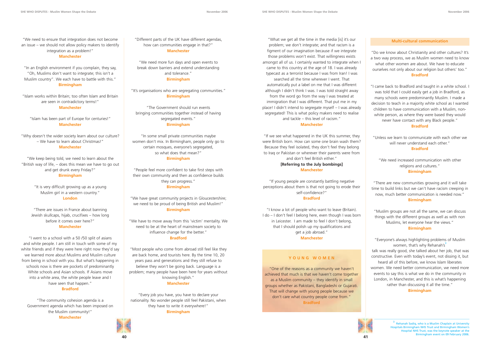"We need to ensure that integration does not become an issue – we should not allow policy makers to identify integration as a problem!"

#### **Manchester**

"In an English environment if you complain, they say, "Oh, Muslims don't want to integrate; this isn't a Muslim country". We each have to battle with this." **Birmingham**

"Islam works within Britain; too often Islam and Britain are seen in contradictory terms!" **Manchester**

"Islam has been part of Europe for centuries!" **Manchester**

"Why doesn't the wider society learn about our culture? – We have to learn about Christmas!" **Manchester**

"We keep being told, we need to learn about the "British way of life, – does this mean we have to go out and get drunk every Friday?" **Birmingham**

> "It is very difficult growing up as a young Muslim girl in a western country." **London**

"There are issues in France about banning Jewish skullcaps, hijab, crucifixes – how long before it comes over here?" **Manchester**

"I went to a school with a 50 /50 split of asians and white people. I am still in touch with some of my white friends and if they were here right now they'd say we learned more about Muslims and Muslim culture from being in school with you. But what's happening in schools now is there are pockets of predominantly White schools and Asian schools. If Asians move into a white area, the white people leave and I have seen that happen."

#### **Bradford**

"The community cohesion agenda is a Government agenda which has been imposed on the Muslim community!" **Manchester**

"Different parts of the UK have different agendas, how can communities engage in that?" **Manchester**

"We need more fun days and open events to break down barriers and extend understanding and tolerance." **Birmingham**

"It's organisations who are segregating communities." **Birmingham**

"The Government should run events bringing communities together instead of having segregated events." **Birmingham**

"In some small private communities maybe women don't mix. In Birmingham, people only go to certain mosques, everyone's segregated, so what does that mean?"

#### **Birmingham**

"People feel more confident to take first steps with their own community and then as confidence builds they can progress." **Birmingham**

"We have great community projects in Gloucestershire; we need to be proud of being British and Muslim!" **Birmingham**

"We have to move away from this 'victim' mentality. We need to be at the heart of mainstream society to influence change for the better." **Bradford**

"Most people who come from abroad still feel like they are back home, and tourists here. By the time 10, 20 years pass and generations and they still refuse to believe they won't be going back. Language is a problem; many people have been here for years without knowing English." **Manchester**

"Every job you have, you have to declare your nationality. No wonder people still feel Pakistani, when they have to write it everywhere!" **Birmingham**

"What we get all the time in the media [is] it's our problem; we don't integrate; and that racism is a figment of our imagination because if we integrate those problems won't exist. That willingness exists amongst all of us. I certainly wanted to integrate when I came to this country at the age of 18. I was already typecast as a terrorist because I was from Iran! I was searched all the time wherever I went. That automatically put a label on me that I was different although I didn't think I was. I was told straight away from the word go from the way I was treated at immigration that I was different. That put me in my place! I didn't intend to segregate myself – I was already segregated! This is what policy makers need to realise and tackle – this level of racism."

#### **Manchester**

"If we see what happened in the UK this summer, they were British born. How can some one brain wash them? Because they feel isolated, they don't feel they belong to Iraq or Pakistan or wherever their parents were from and don't feel British either."

#### **[Referring to the July bombings] Manchester**

"If young people are constantly battling negative perceptions about them is that not going to erode their self-confidence?"

#### **Bradford**

"I know a lot of people who want to leave (Britain). I do – I don't feel I belong here, even though I was born in Leicester. I am made to feel I don't belong, that I should polish up my qualifications and get a job abroad." **Manchester**

#### **Multi-cultural communication**

"Do we know about Christianity and other cultures? It's a two way process, we as Muslim women need to know what other women are about. We have to educate ourselves not only about our religion but others' too." **Bradford**

"I came back to Bradford and taught in a white school. I was told that I could easily get a job in Bradford, as many schools were predominantly Muslim. I made a decision to teach in a majority white school as I wanted children to have communication with a Muslim, nonwhite person, as where they were based they would never have contact with any Black people." **Bradford**

"Unless we learn to communicate with each other we will never understand each other." **Bradford**

"We need increased communication with other religions and cultures." **Birmingham**

"There are new communities growing and it will take time to build links but we can't have racism creeping in now, much better communication is needed now." **Birmingham**

"Muslim groups are not all the same, we can discuss things with the different groups as well as with non Muslims, let everyone hear the views." **Birmingham**

"Everyone's always highlighting problems of Muslim women, that's why Rehanah's<sup>3</sup> talk was really good, she talked about her job, that was constructive. Even with today's event, not dissing it, but heard all of this before, we know Islam liberates women. We need better communication, we need more events to say this is what we do in the community in London, in Manchester, and this is what's happening rather than discussing it all the time."

**Birmingham**



#### **YOUNG WOMEN**

"One of the reasons as a community we haven't achieved that much is that we haven't come together as a Muslim community – they identify in small groups whether as Pakistani, Bangladeshi or Gujarati. That will change with young people because we don't care what country people come from." **Bradford**

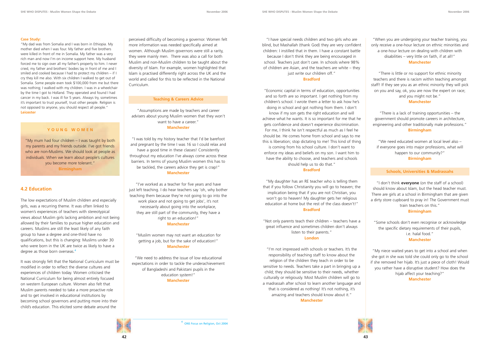

#### **Case Study:**

"My dad was from Somalia and I was born in Ethiopia. My mother died when I was four. My father and five brothers were killed in front of me in Somalia. My father was a very rich man and now I'm on income support here. My husband forced me to sign over all my father's property to him. I never cried, my father and brothers' bodies lay in front of me and I smiled and cooked because I had to protect my children – if I cry they kill me also. With six children I walked to get out of Somalia. Some people even took \$100,000 from me but there was nothing; I walked with my children. I was in a wheelchair by the time I got to Holland. They operated and found I had cancer in my back. I was ill for 5 years. Always try, sometimes it's important to trust yourself, trust other people. Religion is not opposed to anyone, you should respect all people." **Leicester**

The low expectations of Muslim children and especially girls, was a recurring theme. It was often linked to women's experiences of teachers with stereotypical views about Muslim girls lacking ambition and not being allowed by their families to pursue higher education and careers. Muslims are still the least likely of any faith group to have a degree and one-third have no qualifications, but this is changing: Muslims under 30 who were born in the UK are twice as likely to have a degree as those born overseas.<sup>4</sup>

#### **YOUNG WOMEN**

"My mum had four children – I was taught by both my parents and my friends outside. I've got friends who are non-Muslims. We should look at people as individuals. When we learn about people's cultures you become more tolerant." **Birmingham**

### **4.2 Education**

It was strongly felt that the National Curriculum must be modified in order to reflect the diverse cultures and experiences of children today. Women criticised the National Curriculum for being almost entirely focused on western European culture. Women also felt that Muslim parents needed to take a more proactive role and to get involved in educational institutions by becoming school governors and putting more into their child's education. This elicited some debate around the

#### just write our children off." **Bradford**

perceived difficulty of becoming a governor. Women felt more information was needed specifically aimed at women. Although Muslim governors were still a rarity, they were mainly men. There was also a call for both Muslim and non-Muslim children to be taught about the diversity of Islam. For example, women highlighted that Islam is practised differently right across the UK and the world and called for this to be reflected in the National Curriculum.

#### **Teaching & Careers Advice**

"Assumptions are made by teachers and career advisers about young Muslim women that they won't want to have a career." **Manchester**

"I was told by my history teacher that I'd be barefoot and pregnant by the time I was 16 so I could relax and have a good time in these classes! Consistently throughout my education I've always come across these barriers. In terms of young Muslim women this has to be tackled, the careers advice they get is crap!" **Manchester**

"I've worked as a teacher for five years and have just left teaching. I do hear teachers say 'oh, why bother teaching them because they're not going to go into the work place and not going to get jobs', it's not necessarily about going into the workplace, they are still part of the community, they have a right to an education!" **Manchester**

"Muslim women may not want an education for getting a job, but for the sake of education!" **Manchester**

"We need to address the issue of low educational expectations in order to tackle the underachievement of Bangladeshi and Pakistani pupils in the education system!" **Manchester**

"I have special needs children and two girls who are blind, but Mashallah (thank God) they are very confident children: I instilled that in them. I have a constant battle because I don't think they are being encouraged in school. Teachers just don't care. In schools where 98% of children are Asian, and the teachers are white – they

"Economic capital in terms of education, opportunities and so forth are so important. I get nothing from my children's school. I wrote them a letter to ask how he's doing in school and got nothing from them. I don't know if my son gets the right education and will achieve what he wants. It is so important for me that he gets confidence and doesn't experience discrimination. For me, I think he isn't respectful as much as I feel he should be. He comes home from school and says to me this is liberation; stop dictating to me! This kind of thing is coming from his school culture. I don't want to enforce my ideas and beliefs on my son. I want him to have the ability to choose, and teachers and schools should help us to do that."

#### **Bradford**

"My daughter has an RE teacher who is telling them that if you follow Christianity you will go to heaven; the implication being that if you are not Christian, you won't go to heaven! My daughter gets her religious education at home but the rest of the class doesn't!" **Bradford**

"Not only parents teach their children – teachers have a great influence and sometimes children don't always listen to their parents." **London**

"I'm not impressed with schools or teachers. It's the responsibility of teaching staff to know about the religion of the children they teach in order to be sensitive to needs. Teachers take a part in bringing up a child; they should be sensitive to their needs, whether culturally or religiously. Most Muslim children will go to a madrassah after school to learn another language and that is considered as nothing! It's not nothing, it's amazing and teachers should know about it." **Manchester**

"When you are undergoing your teacher training, you only receive a one-hour lecture on ethnic minorities and a one-hour lecture on dealing with children with disabilities – very little on faith, if at all!" **Manchester**

"There is little or no support for ethnic minority teachers and there is racism within teaching amongst staff! If they see you as an ethnic minority they will pick on you and say, ok, you are now the expert on race; and you might not be." **Manchester**

"There is a lack of training opportunities – the government should promote careers in architecture, engineering and other traditionally male professions." **Birmingham**

"We need educated women at local level also – if everyone goes into major professions, what will happen to our community?" **Birmingham**

#### **Schools, Universities & Madrassahs**

"I don't think **everyone** (on the staff of a school) should know about Islam, but the head teacher must. There are girls at a school in Birmingham that are given a dirty store cupboard to pray in! The Government must train teachers on this."

#### **Birmingham**

"Some schools don't even recognise or acknowledge the specific dietary requirements of their pupils, i.e. halal food." **Manchester**

"My niece waited years to get into a school and when she got in she was told she could only go to the school if she removed her hijab. It's just a piece of cloth! Would you rather have a disruptive student? How does the hijab affect your teaching?" **Manchester**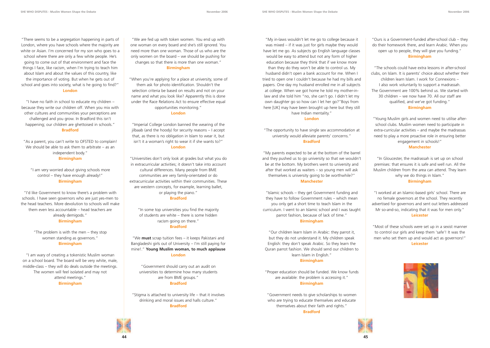



"There seems to be a segregation happening in parts of London, where you have schools where the majority are white or Asian. I'm concerned for my son who goes to a school where there are only a few white people. He's going to come out of that environment and face the things I face, like racism, when I'm trying to teach him about Islam and about the values of this country, like the importance of voting. But when he gets out of school and goes into society, what is he going to find?" **London**

"I have no faith in school to educate my children – because they write our children off. When you mix with other cultures and communities your perceptions are challenged and you grow. In Bradford this isn't happening; our children are ghettoised in schools." **Bradford**

"As a parent, you can't write to OFSTED to complain! We should be able to ask them to arbitrate – as an independent body."

**Birmingham**

"I am very worried about giving schools more control – they have enough already!" **Birmingham**

"I'd like Government to know there's a problem with schools. I have seen governors who are just yes-men to the head teachers. More devolution to schools will make them even less accountable – head teachers are already demigods." **Birmingham**

> "The problem is with the men – they stop women standing as governors." **Birmingham**

"I am wary of creating a tokenistic Muslim woman on a school board. The board will be very white, male, middle-class – they will do deals outside the meetings. The women will feel isolated and may not attend meetings." **Birmingham**

"We are fed up with token women. You end up with one woman on every board and she's still ignored. You need more than one woman. Those of us who are the only women on the board – we should be pushing for changes so that there is more than one woman." **Birmingham**

"When you're applying for a place at university, some of them ask for photo identification. Shouldn't the selection criteria be based on results and not on your name and what you look like? Apparently this is done under the Race Relations Act to ensure effective equal opportunities monitoring."

#### **London**

"Imperial College London banned the wearing of the jilbaab (and the hoody) for security reasons – I accept that, as there is no obligation in Islam to wear it, but isn't it a woman's right to wear it if she wants to?"

#### **London**

"Universities don't only look at grades but what you do in extracurricular activities; it doesn't take into account cultural differences. Many people from BME communities are very family-orientated or do extracurricular activities within their communities. These are western concepts, for example, learning ballet, or playing the piano."

#### **Bradford**

"In some top universities you find the majority of students are white – there is some hidden racism going on there." **Bradford**

"We **must** scrap tuition fees – it keeps Pakistani and Bangladeshi girls out of University – I'm still paying for mine!." **Young Muslim woman, to much applause London**

"Government should carry out an audit on universities to determine how many students are from BME groups." **Bradford**

"Stigma is attached to university life – that it involves drinking and moral issues and halls culture." **Bradford**

#### "Ours is a Government-funded after-school club – they do their homework there, and learn Arabic. When you open up to people, they will give you funding." **Birmingham**

"The schools could have extra lessons in after-school clubs, on Islam. It is parents' choice about whether their children learn Islam. I work for Connexions – I also work voluntarily to support a madrassah. The Government are 100% behind us. We started with 30 children – we now have 70. All our staff are qualified, and we've got funding." **Birmingham**

"Young Muslim girls and women need to utilise afterschool clubs. Muslim women need to participate in extra-curricular activities – and maybe the madrassas need to play a more proactive role in ensuring better engagement in schools!" **Manchester**

"In Gloucester, the madrassah is set up on school premises: that ensures it is safe and well run. All the Muslim children from the area can attend. They learn why we do things in Islam." **Birmingham**

"I worked at an Islamic-based girls' school. There are no female governors at the school. They recently advertised for governors and sent out letters addressed Mr so-and-so, indicating that it was for men only." **Leicester**

"Most of these schools were set up in a sexist manner to control our girls and keep them 'safe'! It was the men who set them up and would act as governors!" **Leicester**







#### **London**

"The opportunity to have single sex accommodation at university would alleviate parents' concerns." **Bradford**

"My parents expected to be at the bottom of the barrel and they pushed us to go university so that we wouldn't be at the bottom. My brothers went to university and after that worked as waiters – so young men will ask themselves is university going to be worthwhile?"

#### **Manchester**

"Islamic schools – they get Government funding and they have to follow Government rules – which mean you only get a short time to teach Islam in the curriculum. I went to an Islamic school and I was taught parrot fashion, because of lack of time." **Birmingham**

"Our children learn Islam in Arabic: they parrot it, but they do not understand it. My children speak English: they don't speak Arabic. So they learn the Quran parrot fashion. We should send our children to learn Islam in English." **Birmingham**

"Proper education should be funded. We know funds are available: the problem is accessing it." **Birmingham**

"Government needs to give scholarships to women who are trying to educate themselves and educate themselves about their faith and rights." **Bradford**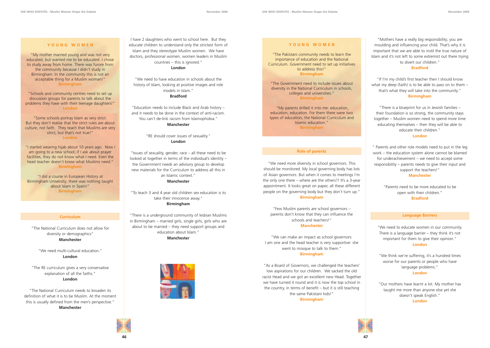

#### **Curriculum**

"The National Curriculum does not allow for diversity or demographics" **Manchester**

"We need multi-cultural education." **London**

"The RE curriculum gives a very conservative explanation of all the faiths." **London**

"The National Curriculum needs to broaden its definition of what it is to be Muslim. At the moment this is usually defined from the men's perspective." **Manchester**

#### **Role of parents**

"We need more diversity in school governors. This should be monitored. My local governing body has lots of Asian governors. But when it comes to meetings I'm the only one there – where are the others?! It's a 3-year appointment. It looks great on paper, all these different people on the governing body but they don't turn up."

#### **Birmingham**

"Few Muslim parents are school governors – parents don't know that they can influence the schools and teachers!" **Manchester**

"We can make an impact as school governors: I am one and the head teacher is very supportive: she

went to mosque to talk to them." **Birmingham**

"As a Board of Governors, we challenged the teachers' low aspirations for our children. We sacked the old racist Head and we got an excellent new Head. Together we have turned it round and it is now the top school in the country, in terms of benefit – but it is still teaching the same Pakistani kids!"

**Birmingham**

"Mothers have a really big responsibility; you are moulding and influencing your child. That's why it is important that we are able to instil the true nature of Islam and it's not left to some extremist out there trying to divert our children."

#### **Bradford**

"If I'm my child's first teacher then I should know what my deep (faith) is to be able to pass on to them – that's what they will take into the community." **Birmingham**

"There is a blueprint for us in Jewish families – their foundation is so strong, the community stays together – Muslim women need to spend more time educating themselves – then they will be able to educate their children." **London**

" Parents and other role models need to put in the leg work – the education system alone cannot be blamed for underachievement – we need to accept some responsibility – parents needs to give their input and support the teachers!" **Manchester**

> "Parents need to be more educated to be open with their children." **Bradford**

#### **Language Barriers**

"We need to educate women in our community. There is a language barrier – they think it's not important for them to give their opinion." **London**

"We think we're suffering, it's a hundred times worse for our parents or people who have language problems." **London**

"Our mothers have learnt a lot. My mother has taught me more than anyone else yet she doesn't speak English." **London**



I have 2 daughters who went to school here. But they educate children to understand only the strictest form of Islam and they stereotype Muslim women. We have doctors, professional women, women leaders in Muslim countries – this is ignored."

**London**

"We need to have education in schools about the history of Islam, looking at positive images and role models in Islam." **Bradford**

"Education needs to include Black and Arab history – and it needs to be done in the context of anti-racism. You can't de-link racism from Islamophobia." **Manchester**

> "RE should cover issues of sexuality." **London**

"Issues of sexuality, gender, race – all these need to be looked at together in terms of the individual's identity – the Government needs an advisory group to develop new materials for the Curriculum to address all this in an Islamic context."

#### **Manchester**

"To teach 3 and 4 year old children sex education is to take their innocence away." **Birmingham**

"There is a underground community of lesbian Muslims in Birmingham – married girls, single girls, girls who are about to be married – they need support groups and education about Islam."

**Manchester**



#### **YOUNG WOMEN**

"My mother married young and was not very educated, but wanted me to be educated. I chose to study away from home. There was furore from the community because I didn't study in Birmingham. In the community this is not an acceptable thing for a Muslim woman!" **Birmingham**

"Schools and community centres need to set up discussion groups for parents to talk about the problems they have with their teenage daughters!" **London**

"Some schools portray Islam as very strict. But they don't realise that the strict rules are about culture, not faith. They teach that Muslims are very strict, but that's not true!" **London**

"I started wearing hijab about 10 years ago. Now I am going to a new school; if I ask about prayer facilities, they do not know what I need. Even the head teacher doesn't know what Muslims need." **Birmingham**

"I did a course in European History at Birmingham University; there was nothing taught about Islam in Spain!" **Birmingham**

#### **Y OUNG WOMEN**

"The Pakistani community needs to learn the importance of education and the National Curriculum. Government need to set up initiatives to address this!" **Birmingham**

"The Government need to include issues about diversity in the National Curriculum in schools, colleges and universities." **Birmingham**

"My parents drilled it into me: education, education, education. For them there were two types of education, the National Curriculum and Islamic education." **Birmingham**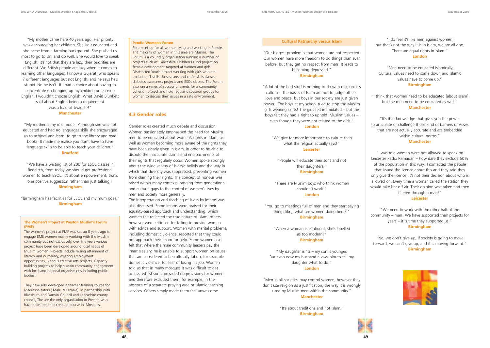



"My mother came here 40 years ago. Her priority was encouraging her children. She isn't educated and she came from a farming background. She pushed us most to go to Uni and do well. She would love to speak English; it's not that they are lazy, their priorities are different. We British people are lazy when it comes to learning other languages. I know a Gujarati who speaks 7 different languages but not English, and he says he's stupid. No he isn't! If I had a choice about having to concentrate on bringing up my children or learning English, I wouldn't choose English. What David Blunkett said about English being a requirement was a load of twaddle!" **Manchester**

"My mother is my role model. Although she was not educated and had no languages skills she encouraged us to achieve and learn, to go to the library and read books. It made me realise you don't have to have language skills to be able to teach your children." **Bradford**

"We have a waiting list of 200 for ESOL classes in Redditch, from today we should get professional women to teach ESOL. It's about empowerment, that's one positive suggestion rather than just talking." **Birmingham**

"Birmingham has facilities for ESOL and my mum goes." **Birmingham**

#### **4.3 Gender roles**

Gender roles created much debate and discussion. Women passionately emphasised the need for Muslim men to be educated about women's rights in Islam, as well as women becoming more aware of the rights they have been clearly given in Islam, in order to be able to dispute the inaccurate claims and encroachments of their rights that regularly occur. Women spoke strongly about the wide variety of Islamic beliefs and the way in which that diversity was suppressed, preventing women from claming their rights. The concept of honour was raised within many contexts, ranging from generational and cultural gaps to the control of women's lives by men and society more generally.

The interpretation and teaching of Islam by imams was also discussed. Some imams were praised for their equality-based approach and understanding, which women felt reflected the true nature of Islam; others however were criticised for failing to provide women with advice and support. Women with marital problems, including domestic violence, reported that they could not approach their imam for help. Some women also felt that where the male community leaders pay the imam's salary, he is unable to support women on issues that are considered to be culturally taboo, for example domestic violence, for fear of losing his job. Women told us that in many mosques it was difficult to get access, whilst some provided no provisions for women and therefore excluded them, for example, in the absence of a separate praying area or Islamic teaching services. Others simply made them feel unwelcome.

#### **Cultural Patriarchy versus Islam**

"Our biggest problem is that women are not respected. Our women have more freedom to do things than ever before, but they get no respect from men! It leads to becoming depressed."

#### **Birmingham**

"A lot of the bad stuff is nothing to do with religion: it's cultural. The basics of Islam are not to judge others; love and peace, but boys in our society are just given power. The boys at my school tried to stop the Muslim girls wearing skirts! The girls felt intimidated – but the boys felt they had a right to uphold 'Muslim' values – even though they were not related to the girls."

#### **London**

"We give far more importance to culture than what the religion actually says!" **Leicester**

"People will educate their sons and not their daughters."

### **Birmingham**

"There are Muslim boys who think women shouldn't work."

#### **London**

"You go to meetings full of men and they start saying things like, 'what are women doing here?'" **Birmingham**

"When a woman is confident, she's labelled as too modern!" **Birmingham**

"My daughter is 13 – my son is younger. But even now my husband allows him to tell my daughter what to do." **London**

"Men in all societies may control women, however they don't use religion as a justification, the way it is wrongly used by Muslim men within the community." **Manchester**

> "It's about traditions and not Islam." **Birmingham**

"I do feel it's like men against women; but that's not the way it is in Islam, we are all one. There are equal rights in Islam." **London**

#### "Men need to be educated Islamically. Cultural values need to come down and Islamic values have to come up." **Birmingham**

"I think that women need to be educated [about Islam] but the men need to be educated as well." **Manchester**

"It's that knowledge that gives you the power to articulate or challenge those kind of barriers or views that are not actually accurate and are embedded within cultural norms." **Manchester**

"I was told women were not allowed to speak on Leicester Radio Ramadan – how dare they exclude 50% of the population in this way! I contacted the people that issued the licence about this and they said they only give the licence; it's not their decision about who is allowed on. Every time a woman called the station they would take her off air. Their opinion was taken and then filtered through a man!"

#### **Leicester**

"We need to work with the other half of the community – men! We have supported their projects for years – it is time they supported us." **Birmingham**

"No, we don't give up, if society is going to move forward, we can't give up, and it is moving forward." **Birmingham**





#### **The Women's Project at Preston Muslim's Forum (PMF)**

The women's project at PMF was set up 8 years ago to engage BME women mainly working with the Muslim community but not exclusively, over the years various project have been developed around local needs of Muslim women. Projects include raising attainment of literacy and numeracy, creating employment opportunities, various creative arts projects. Capacity building projects to help sustain community engagement with local and national organisations including public bodies.

They have also developed a teacher training course for Madrasha tutors ( Male & Female) in partnership with Blackburn and Darwin Council and Lancashire county council, The are the only organisation in Preston who have delivered an accredited course in Mosques.

#### **Pendle Women's Forum**

Forum set up for all women living and working in Pendle. The majority of women in this area are Muslim. The Forum is a voluntary organisation running a number of projects such as: Lancashire Children's Fund project on female development targeted at women and girls; Disaffected Youth project working with girls who are excluded, IT skills classes, arts and crafts skills classes, diabetes awareness projects and ESOL classes. The Forum also ran a series of successful events for a community cohesion project and hold regular discussion groups for women to discuss their issues in a safe environment.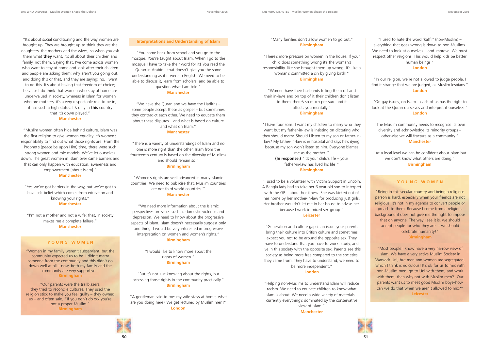"It's about social conditioning and the way women are brought up. They are brought up to think they are the daughters, the mothers and the wives, so when you ask them what **they** want, it's all about their children and family, not them. Saying that, I've come across women who want to stay at home and look after their children and people are asking them: why aren't you going out, and doing this or that, and they are saying: no, I want to do this. It's about having that freedom of choice; because I do think that women who stay at home are under-valued in society, whereas in Islam for women who are mothers, it's a very respectable role to be in, it has such a high status. It's only in **this** country that it's down played." **Manchester**

"Muslim women often hide behind culture. Islam was the first religion to give women equality. It's women's responsibility to find out what those rights are. From the Prophet's (peace be upon Him) time, there were such strong women and role models. We've let ourselves down. The great women in Islam over came barriers and that can only happen with education, awareness and empowerment [about Islam]."

#### **Manchester**

"Yes we've got barriers in the way, but we've got to have self belief which comes from education and knowing your rights." **Manchester**

"I'm not a mother and not a wife; that, in society makes me a complete failure." **Manchester**

#### **Interpretations and Understanding of Islam**

"You come back from school and you go to the mosque. You're taught about Islam. When I go to the mosque I have to take their word for it! You read the Quran in Arabic – that doesn't give you the same understanding as if it were in English. We need to be able to discuss it, learn from scholars, and be able to question what I am told."

#### **Manchester**

"We have the Quran and we have the Hadiths – some people accept these as gospel – but sometimes they contradict each other. We need to educate them about these disputes – and what is based on culture and what on Islam." **Manchester**

"There is a variety of understandings of Islam and no one is more right than the other. Islam from the fourteenth century is based on the diversity of Muslims and should remain so." **Birmingham**

"Women's rights are well advanced in many Islamic countries. We need to publicise that. Muslim countries are not third world countries!"

#### **Manchester**

"We need more information about the Islamic perspectives on issues such as domestic violence and depression. We need to know about the progressive aspects of Islam. Islam doesn't necessarily suggest only one thing. I would be very interested in progressive interpretation on women and women's rights." **Birmingham**

> "I would like to know more about the rights of women." **Birmingham**

"But it's not just knowing about the rights, but accessing those rights in the community practically." **Birmingham**

"A gentleman said to me: my wife stays at home, what are you doing here? We get lectured by Muslim men!" **London**

"Many families don't allow women to go out." **Birmingham**

"There's more pressure on women in the house. If your child does something wrong it's the woman's responsibility, like she brought them up wrong. It's like a woman's committed a sin by giving birth!" **Birmingham**

"Women have their husbands telling them off and their in-laws and on top of it their children don't listen to them–there's so much pressure and it affects you mentally."

#### **Birmingham**

"I have four sons. I want my children to marry who they want but my father-in-law is insisting on dictating who they should marry. Should I listen to my son or father-inlaw? My father-in-law is in hospital and says he's dying because my son won't listen to him. Everyone blames me as the mother!"

> **(In response:)** "It's your child's life – your father-in-law has lived his life!" **Birmingham**

"I used to be a volunteer with Victim Support in Lincoln. A Bangla lady had to take her 6-year-old son to interpret with the GP – about her illness. She was kicked out of her home by her mother-in-law for producing just girls. Her brother wouldn't let me in her house to advise her, because I work in mixed sex group."

#### **Leicester**

"Generation and culture gap is an issue–your parents bring their culture into British culture and sometimes expect you not to be around the opposite sex. They have to understand that you have to work, study, and live in this society with the opposite sex. Parents see this society as being more free compared to the societies they came from. They have to understand, we need to be more independent."

#### **London**

"Helping non-Muslims to understand Islam will reduce racism. We need to educate children to know what Islam is about. We need a wide variety of materials – currently everything's dominated by the conservative view of Islam."

**Manchester**



"I used to hate the word 'kaffir' (non-Muslim) – everything that goes wrong is down to non-Muslims. We need to look at ourselves – and improve. We must respect other religions. This would help kids be better human beings."

#### **London**

"In our religion, we're not allowed to judge people. I find it strange that we are judged, as Muslim lesbians." **London**

"On gay issues, on Islam – each of us has the right to look at the Quran ourselves and interpret it ourselves." **London**

"The Muslim community needs to recognise its own diversity and acknowledge its minority groups – otherwise we will fracture as a community." **Manchester**

"At a local level we can be confident about Islam but we don't know what others are doing." **Birmingham**

#### **YOUNG WOMEN**

"Women in my family weren't subservient, but the community expected us to be. I didn't marry someone from the community and this didn't go down well at all – now, both my family and the community are very supportive." **Birmingham**

"Our parents were the trailblazers, they tried to reconcile cultures. They used the religion stick to make you feel guilty – they owned us – and often said, "If you don't do xxx you're not a proper Muslim." **Birmingham**

#### **YOUNG WOMEN**

"Being in this secular country and being a religious person is hard, especially when your friends are not religious. It's not in my agenda to convert people or preach to them. Because I come from a religious background it does not give me the right to impose that on anyone. The way I see it is, we should accept people for who they are. – we should celebrate humanity!" **Birmingham**

"Most people I know have a very narrow view of Islam. We have a very active Muslim Society in Warwick Uni, but men and women are segregated, which I think is ridiculous! It's ok for us to mix with non-Muslim men, go to Uni with them, and work with them, then why not with Muslim men?! Our parents want us to meet good Muslim boys–how can we do that when we aren't allowed to mix?" **Leicester**

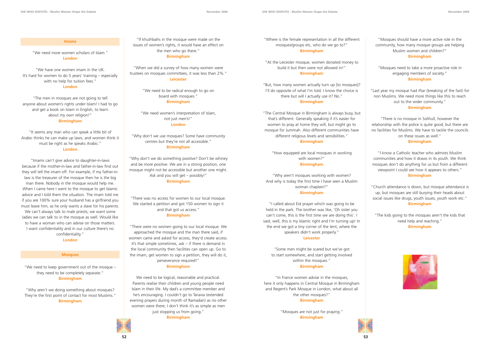#### **Imams**

"We need more women scholars of Islam." **London**

"We have one women imam in the UK. It's hard for women to do 5 years' training – especially with no help for tuition fees." **London**

"The men in mosques are not going to tell anyone about women's rights under Islam! I had to go and get a book on Islam in English, to learn about my own religion!" **Birmingham**

"It seems any man who can speak a little bit of Arabic thinks he can make up laws, and women think it must be right as he speaks Arabic." **London**

"Imams can't give advice to daughter-in-laws because if the mother-in-law and father-in-law find out they will tell the imam off. For example, if my father-inlaw is the treasurer of the mosque then he is the big man there. Nobody in the mosque would help me. When I came here I went to the mosque to get Islamic advice and I told them the situation. The imam told me if you are 100% sure your husband has a girlfriend you must leave him, as he only wants a slave for his parents. We can't always talk to male priests; we want some ladies we can talk to in the mosque as well. Would like to have a woman who can advise on those matters. I want confidentiality and in our culture there's no confidentiality." **London**

#### **Mosques**

"We need to keep government out of the mosque – they need to be completely separate." **Birmingham**

"Why aren't we doing something about mosques? They're the first point of contact for most Muslims." **Birmingham**



"At the Leicester mosque, women donated money to build it but then were not allowed in!" **Birmingham**

"But, how many women actually turn up [to mosques]? I'll do opposite of what I'm told. I know the choice is there but will I actually use it? No." **Birmingham**

"The Central Mosque in Birmingham is always busy, but that's different. Generally speaking if it's easier for women to pray at home they will, but might go to mosque for Jummah. Also different communities have different religious levels and sensibilities."

#### **Birmingham**

"How equipped are local mosques in working with women?"

#### **Birmingham**

"Why aren't mosques working with women? And why is today the first time I have seen a Muslim woman chaplain?"

#### **Birmingham**

"I called about Eid prayer which was going to be held in the park. The brother was like, 'Oh sister you can't come, this is the first time we are doing this'. I said, well, this is my Islamic right and I'm turning up! In the end we got a tiny corner of the tent, where the speakers didn't work properly."

We need to be logical, reasonable and practical. Parents realise their children and young people need Islam in their life. My dad's a committee member and he's encouraging. I couldn't go to Taravia (extended evening prayers during month of Ramadan) as no other women were there; I don't think it's as simple as men just stopping us from going."

#### **Leicester**

"Some men might be scared but we've got to start somewhere, and start getting involved within the mosques." **Birmingham**

"In France women advise in the mosques, here it only happens in Central Mosque in Birmingham and Regent's Park Mosque in London, what about all the other mosques?"

#### **Birmingham**

"Mosques are not just for praying." **Birmingham**



"Mosques should have a more active role in the community, how many mosque groups are helping Muslim women and children?"

#### **Birmingham**

"Mosques need to take a more proactive role in engaging members of society." **Birmingham**

"Last year my mosque had iftar (breaking of the fast) for non Muslims. We need more things like this to reach out to the wider community."

#### **Birmingham**

"There is no mosque in Solihull, however the relationship with the police is quite good, but there are no facilities for Muslims. We have to tackle the councils on these issues as well."

#### **Birmingham**

"I know a Catholic teacher who admires Muslim communities and how it draws in its youth. We think mosques don't do anything for us but from a different viewpoint I could see how it appears to others." **Birmingham**

"Church attendance is down, but mosque attendance is up, but mosques are still burying their heads about social issues like drugs, youth issues, youth work etc." **Birmingham**

"The kids going to the mosques aren't the kids that need help and reaching." **Birmingham**



"If khuthbahs in the mosque were made on the issues of women's rights, it would have an effect on the men who go there."

**Birmingham**

"When we did a survey of how many women were trustees on mosques committees, it was less than 2%." **Leicester**

> "We need to be radical enough to go on board with mosques." **Birmingham**

"We need women's interpretation of Islam, not just men's!" **London**

"Why don't we use mosques? Some have community centres but they're not all accessible." **Birmingham**

"Why don't we do something positive? Don't be whiney and be more positive. We are in a strong position, one mosque might not be accessible but another one might. Ask and you will get – possibly!" **Birmingham**

"There was no access for women to our local mosque. We started a petition and got 150 women to sign it and that got us access." **Birmingham**

"There were no women going to our local mosque. We approached the mosque and the man there said, if women came and asked for access, they'd create access. It's that simple sometimes, ask – if there is demand in the local community then facilities can open up. Go to the imam, get women to sign a petition, they will do it, perseverance required!"

#### **Birmingham**

**Birmingham**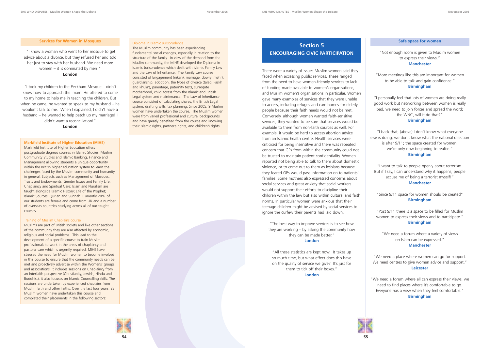#### **Services for Women in Mosques**

"I know a woman who went to her mosque to get advice about a divorce, but they refused her and told her just to stay with her husband. We need more women – it is dominated by men!" **London**

"I took my children to the Peckham Mosque – didn't know how to approach the imam. He offered to come to my home to help me in teaching the children. But when he came, he wanted to speak to my husband – he wouldn't talk to me. When I explained, I didn't have a husband – he wanted to help patch up my marriage! I didn't want a reconciliation!"

**London**

# **Section 5 ENCOURAGING CIVIC PARTICIPATION**

There were a variety of issues Muslim women said they faced when accessing public services. These ranged from the need to have women-friendly services to lack of funding made available to women's organisations, and Muslim women's organisations in particular. Women gave many examples of services that they were unable to access, including refuges and care homes for elderly people because their faith needs would not be met. Conversely, although women wanted faith-sensitive services, they wanted to be sure that services would be available to them from non-faith sources as well. For example, it would be hard to access abortion advice from an Islamic health centre. Health services were criticised for being insensitive and there was repeated concern that GPs from within the community could not be trusted to maintain patient confidentiality. Women reported not being able to talk to them about domestic violence, or to come out to them as lesbians because they feared GPs would pass information on to patients' families. Some mothers also expressed concerns about social services and great anxiety that social workers would not support their efforts to discipline their children within the law but also within cultural and faith norms. In particular women were anxious that their teenage children might be advised by social services to ignore the curfew their parents had laid down.

"The best way to improve services is to see how they are working – by asking the community how they can be made better."

#### **London**

"All these statistics are kept now. It takes up so much time, but what effect does this have on the quality of service we give? It's just for them to tick off their boxes."

**London**

#### **Safe space for women**

"Not enough room is given to Muslim women to express their views." **Manchester**

"More meetings like this are important for women to be able to talk and gain confidence." **Birmingham**

"I personally feel that lots of women are doing really good work but networking between women is really bad, we need to join forces and spread the word; the WNC, will it do that?" **Birmingham**

"I back that, (above) I don't know what everyone else is doing, we don't know what the national direction is after 9/11; the space created for women, we're only now beginning to realise." **Birmingham**

"I want to talk to people openly about terrorism. But if I say, I can understand why it happens, people accuse me of being a terrorist myself!" **Manchester**

"Since 9/11 space for women should be created" **Birmingham**

"Post 9/11 there is a space to be filled for Muslim women to express their views and to participate." **Birmingham**

"We need a forum where a variety of views on Islam can be expressed." **Manchester**

"We need a place where women can go for support. We need centres to give women advice and support." **Leicester**

"We need a forum where all can express their views, we need to find places where it's comfortable to go. Everyone has a view when they feel comfortable." **Birmingham**



#### **Markfield Institute of Higher Education (MIHE)**

Markfield Institute of Higher Education offers postgraduate degrees courses in Islamic Studies, Muslim Community Studies and Islamic Banking, Finance and Management allowing students a unique opportunity within the British higher education system to learn the challenges faced by the Muslim community and humanity in general. Subjects such as Management of Mosques, Trusts and Endowments; Gender Issues and Family Life; Chaplaincy and Spiritual Care; Islam and Pluralism are taught alongside Islamic History; Life of the Prophet; Islamic Sources: Qur'an and Sunnah. Currently 20% of our students are female and come from UK and a number of overseas countries studying across all of our taught courses.

#### Training of Muslim Chaplains course

Muslims are part of British society and like other sections of the community they are also affected by economic, religious and social problems. This lead to the development of a specific course to train Muslim professionals to work in the areas of chaplaincy and pastoral care which is urgently required. MIHE have stressed the need for Muslim women to become involved in this course to ensure that the community needs can be met and proactively advertise within the Womens' groups and associations. It includes sessions on Chaplaincy from an Interfaith perspective (Christianity, Jewish, Hindu and Buddhist), it also focuses on Islamic Counselling skills. The sessions are undertaken by experienced chaplains from Muslim faith and other faiths. Over the last four years, 22 Muslim women have undertaken this course and completed their placements in the following sectors:

#### Diploma in Islamic Jurisprudence

The Muslim community has been experiencing

fundamental social changes, especially in relation to the structure of the family. In view of the demand from the Muslim community, the MIHE developed the Diploma in Islamic Jurisprudence which dealt with Islamic Family Law and the Law of Inheritance. The Family Law course consisted of Engagement (nikah), marriage, dowry (mehr), guardianship, adoption, the types of divorce (talaq, Faskh and khula'), parentage, paternity tests, surrogate motherhood, child access from the Islamic and British Legal system and maintenance. The Law of Inheritance course consisted of calculating shares, the British Legal system, drafting wills, tax planning. Since 2005, 9 Muslim women have undertaken the course. The Muslim women were from varied professional and cultural backgrounds and have greatly benefited from the course and knowing their Islamic rights, partner's rights, and children's rights.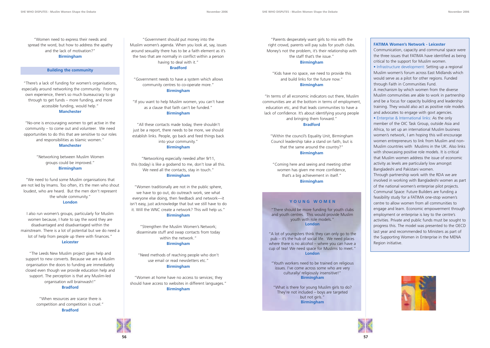**57**





"Women need to express their needs and spread the word, but how to address the apathy and the lack of motivation?"

**Birmingham**

#### **Building the community**

"There's a lack of funding for women's organisations, especially around networking the community. From my own experience, there's so much bureaucracy to go through to get funds – more funding, and more accessible funding, would help." **Manchester**

"No-one is encouraging women to get active in the community – to come out and volunteer. We need opportunities to do this that are sensitive to our roles and responsibilities as Islamic women." **Manchester**

> "Networking between Muslim Women groups could be improved." **Birmingham**

"We need to fund some Muslim organisations that are not led by Imams. Too often, it's the men who shout loudest, who are heard. But the men don't represent the whole community." **London**

I also run women's groups, particularly for Muslim women because, I hate to say the word they are disadvantaged and disadvantaged within the mainstream. There is a lot of potential but we do need a lot of help from people up there with finances." **Leicester**

"The Leeds New Muslim project gives help and support to new converts. Because we are a Muslim organisation the doors to funding are immediately closed even though we provide education help and support. The perception is that any Muslim-led organisation will brainwash!"

#### **Bradford**

"When resources are scarce there is competition and competition is cruel." **Bradford**

"Government should put money into the Muslim women's agenda. When you look at, say, issues around sexuality there has to be a faith element as it's the two that are normally in conflict within a person having to deal with it." **Bradford**

"Government needs to have a system which allows community centres to co-operate more." **Birmingham**

"If you want to help Muslim women, you can't have as a clause that faith can't be funded." **Birmingham**

"All these contacts made today, there shouldn't just be a report, there needs to be more, we should establish links. People, go back and feed things back into your community." **Birmingham**

"Networking especially needed after 9/11, this (today) is like a godsend to me, don't lose all this. We need all the contacts, stay in touch." **Birmingham**

"Women traditionally are not in the public sphere, we have to go out, do outreach work, see what everyone else doing, then feedback and network—it isn't easy, just acknowledge that but we still have to do it. Will the WNC create a network? This will help us." **Birmingham**

"Strengthen the Muslim Women's Network; disseminate stuff and swap contacts from today within the network." **Birmingham**

"Need methods of reaching people who don't use email or read newsletters etc." **Birmingham**

"Women at home have no access to services; they should have access to websites in different languages." **Birmingham**

"Parents desperately want girls to mix with the right crowd, parents will pay subs for youth clubs. Money's not the problem, it's their relationship with the staff that's the issue." **Birmingham**

"Kids have no space, we need to provide this and build links for the future now." **Birmingham**

"In terms of all economic indicators out there, Muslim communities are at the bottom in terms of employment, education etc, and that leads communities to have a lack of confidence. It's about identifying young people and bringing them forward."

#### **Bradford**

"Within the council's Equality Unit, Birmingham Council leadership take a stand on faith, but is that the same around the country?" **Birmingham**

"Coming here and seeing and meeting other women has given me more confidence, that's a big achievement in itself." **Birmingham**

#### **FATIMA Women's Network - Leicester**

Communication, capacity and communal space were the three issues that FATIMA have identified as being critical to the support for Muslim women.

**•** Infrastructure development: Setting up a regional Muslim women's forum across East Midlands which would serve as a pilot for other regions. Funded through Faith in Communities Fund.

A mechanism by which women from the diverse Muslim communities are able to work in partnership and be a focus for capacity building and leadership training. They would also act as positive role models and advocates to engage with govt agencies.

**•** Enterprise & International links: As the only member of the OIC Task Group, outside Asia and Africa, to set up an international Muslim business women's network, I am hoping this will encourage women entrepreneurs to link from Muslim and non-Muslim countries with Muslims in the UK. Also links with showcasing positive role models. It is critical that Muslim women address the issue of economic activity as levels are particularly low amongst Bangladeshi and Pakistani women.

Through partnership work with the RDA we are involved in working with Bangladeshi women as part of the national women's enterprise pilot projects. Communal Space: Future Builders are funding a feasibility study for a FATIMA one-stop women's centre to allow women from all communities to engage and learn. Economic empowerment through employment or enterprise is key to the centre's activities. Private and public funds must be sought to progress this. The model was presented to the OECD last year and recommended to Ministers as part of the Supporting Women in Enterprise in the MENA Region initiative.





#### **YOUNG WOMEN**

"There should be more funding for youth clubs and youth centres. This would provide Muslim youth with role models." **London**

"A lot of youngsters think they can only go to the pub – it's the hub of social life. We need places where there is no alcohol – where you can have a cup of tea! We need space for Muslims to meet." **London**

"Youth workers need to be trained on religious issues. I've come across some who are very culturally/ religiously insensitive!" **Birmingham**

"What is there for young Muslim girls to do? They're not included – boys are targeted but not girls." **Birmingham**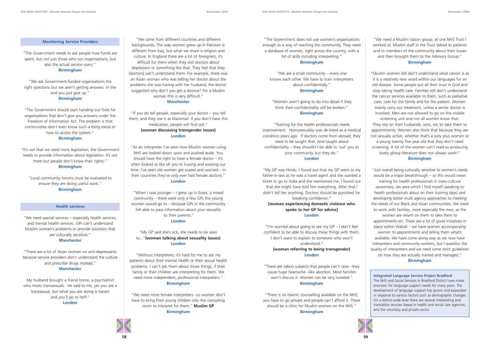#### **Monitoring Service Providers**

"The Government needs to ask people how funds are spent, but not just those who run organisations, but also the actual service users."

#### **Birmingham**

"We ask Government-funded organisations the right questions but we aren't getting answers. In the end you just give up." **Birmingham**

"The Government should start handing out fines for organisations that don't give you answers under the Freedom of Information Act. The problem is that communities don't even know such a thing exists or how to access the system."

#### **Birmingham**

"It's not that we need more legislation; the Government needs to provide information about legislation. It's out there but people don't know their rights." **Birmingham**

"Local community forums must be evaluated to ensure they are doing useful work." **Birmingham**

#### **Health services**

"We need special services – especially health services, and mental health services. GPs can't understand Muslim women's problems or provide solutions that are culturally sensitive."

#### **Manchester**

"There are a lot of Asian women on anti-depressants because service providers don't understand the culture and prescribe drugs instead." **Manchester**

My husband brought a friend home, a psychiatrist who treats transsexuals. He said to me, yes you are a transsexual, but what you are doing is haram and you'll go to hell!" **London**

"We came from different countries and different backgrounds. The way women grew up in Pakistan is different from Iraq, but what we share is religion and culture. In England there are a lot of foreigners, it's difficult for them when they visit doctors about depression or something like that. They feel that they [doctors] can't understand them. For example, there was an Asian woman who was telling her doctor about the problems she was having with her husband, the doctor suggested why don't you get a divorce? For a Muslim woman this is very difficult." **Manchester**

"If you do tell people, especially your doctor – you tell them, and they use it as blackmail: if you don't have this medication, people will find out." **(woman discussing transgender issues) London**

"As an interpreter I've seen how Muslim women using NHS are looked down upon and pushed aside. You should have the right to have a female doctor  $-$  it's often looked at like oh you're fussing and wasting our time. I've seen old women get scared and worried – in their countries they've only ever had female doctors." **London**

"When I was younger – I grew up in Essex, a mixed community – there were only a few GPs the young women would go to – because GPs in the community felt able to pass information about your sexuality to their parents."

#### **London**

#### "My GP said she's sick, she needs to be seen to..."**(woman talking about sexuality issues) London**

"Without interpreters, it's hard for me to ask my patients about their mental health or their sexual health problems. I can't ask them about those things, if their family or their children are interpreting for them. We need more independent, professional interpreters." **Birmingham**

"We need more female interpreters –so women don't have to bring their young children into the consulting room to interpret for them." **Muslim GP Birmingham**

"The Government does not use women's organisations enough as a way of reaching the community. They need a database of women, right across the country, with a list of skills including interpreting."

#### **Birmingham**

"We are a small community – every one knows each other. We have to train interpreters about confidentially." **Birmingham**

"Women aren't going to do into detail if they think their confidentiality will be broken." **Birmingham**

## "Training for the health professionals needs improvement. Homosexuality was de-listed as a medical condition years ago. If doctors come from abroad, they need to be taught that. And taught about confidentiality – they shouldn't be able to 'out' you to

your community, but they do." **London**

"My GP was Hindu. I found out that my GP went to my father-in-law as he was a travel agent and she wanted a ticket to go to India and she mentioned me. I found out that she might have told him everything. After that I didn't tell her anything. Doctors should be punished for breaking confidence." **[woman experiencing domestic violence who spoke to her GP for advice]**

#### **London**

"I'm worried about going to see my GP – I don't feel confident to be able to discuss these things with them. I don't want to explain to someone who won't understand." **(woman referring to being transgender)** 

#### **London**

"There are taboo subjects that people can't raise –they cause huge heartache –like abortion. Most families won't discuss it. Women can be very isolated." **Birmingham**

"There is no Islamic counselling available on the NHS; you have to go private and people can't afford it. There should be a clinic for Muslim women on the NHS." **Birmingham**





"We need a Muslim liaison group; at one NHS Trust I worked at. Muslim staff in the Trust talked to patients and to members of the community about their issues and then brought them to the Advisory Group." **Birmingham**

"Muslim women still don't understand what cancer is as it is a relatively new word within our languages for an old disease. Some people put all their trust in God and stop taking health care. Families still don't understand the cancer services available to them, such as palliative care; care for the family and for the patient. Women mainly carry out treatment, unless a senior doctor is involved. Men are not allowed to go on the mobile screening unit and not all women know that. They rely on their husbands, sons, etc to take them to appointments. Women also think that because they are not sexually active, whether that's a sixty plus women or a young twenty five year old that they don't need screening. A lot of the women can't read so producing lovely glossy literature does not always work!" **Birmingham**

"Just overall being culturally sensitive to women's needs would be a major breakthrough – so this would mean training for health professionals in trans-cultural awareness, (an area which I find myself speaking to health professionals about on their training days) and developing better multi agency approaches to meeting the needs of our Black and Asian communities. We need to work with families, more especially the men, as the women are reliant on them to take them to appointments etc. There are a lot of good initiatives in place within Walsall – we have women accompanying women to appointments and telling them what's available. We have come along way as we now have interpreters and community workers, but I question the quality of interpreters and we need some strict guidelines on how they are actually trained and managed." **Birmingham**

#### **Integrated Language Service Project Bradford**

The NHS and Social Services in Bradford District have made provision for language support needs for many years. The development of language support has grown and expanded in response to various factors such as demographic changes. On a district-wide level there are several interpreting and translation services based in health and social care agencies, and the voluntary and private sector.

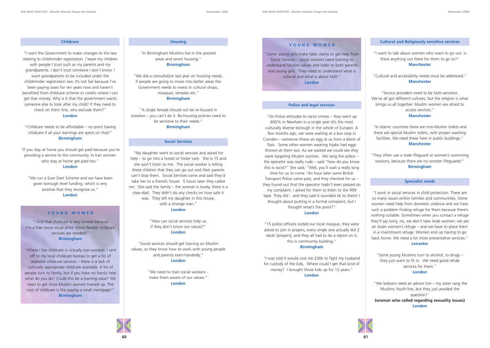



#### **Childcare**

"I want the Government to make changes to the law relating to childminder registration. I leave my children with people I trust such as my parents and my grandparents. I don't trust someone I don't know. I want grandparents to be included under the childminder registration law. It's not fair because I've been paying taxes for ten years now and haven't benefited from childcare scheme or credits where I can get that money. Why is it that the government wants someone else to look after my child? If they need to check on them fine, why exclude them?" **London**

"Childcare needs to be affordable – no point having childcare if all your earnings are spent on that!" **Birmingham**

"If you stay at home you should get paid because you're providing a service to the community. In Iran women who stay at home get paid too." **London**

"We run a Sure Start Scheme and we have been given borough level funding, which is very positive that they recognise us." **London**

#### **Housing**

"In Birmingham Muslims live in the poorest areas and worst housing." **Birmingham**

"We did a consultation last year on housing needs. If people are going to move into better areas the Government needs to invest in cultural shops, mosques, temples etc."

**Birmingham**

"A single female should not be re-housed in isolation – you can't do it. Re-housing policies need to be sensitive to their needs." **Birmingham**

#### **Social Services**

"My daughter went to social services and asked for help – to go into a hostel or foster care. She is 15 and she won't listen to me. The social worker is telling these children that they can go out and their parents can't stop them. Social Services came and said they'd take her to a friend's house. 5 hours later they called me. She said the family – the woman is lovely, there is a step–dad. They didn't do any checks on how safe it was. They left my daughter in this house, with a strange man." **London**

> "How can social services help us, if they don't know our values?" **London**

"Social services should get training on Muslim values, so they know how to work with young people and parents even-handedly." **London**

> "We need to train social workers – make them aware of our values." **London**

#### **Police and legal services**

"On Police attitudes to racist crimes – they went up 600% in Newham in a single year (it's the most culturally diverse borough in the whole of Europe). A few months ago, we were waiting at a bus stop in Camden – someone threw an egg at us from a block of flats. Some other women wearing hijabs had eggs thrown at them too. As we waited we could see they were targeting Muslim women. We rang the police – the operator was really rude – said "how do you know this is racist?" She said, "Well, you'll wait a really long time for us to come."An hour later some British Transport Police came past, and they checked for us – they found out that the operator hadn't even passed on my complaint. I asked for them to listen to the 999 tape. They did – and they said it sounded ok to them! I thought about putting in a formal complaint, but I thought what's the point?"

#### **London**

"15 police officers visited our local mosque, they were asked to join in prayers, every single one actually did 2 rakah [prayers], and they all had to do a report on it, this is community building."

#### **Birmingham**

"I was told it would cost me £30k to fight my husband for custody of the kids. Where could I get that kind of money? I brought those kids up for 12 years." **London**

#### **Cultural and Religiously sensitive services**

"I want to talk about women who want to go out. is there anything out there for them to go to?" **Manchester**

"Cultural and accessibility needs must be addressed." **Manchester**

"Service providers need to be faith-sensitive. We've all got different cultures, but the religion is what brings us all together. Muslim women are afraid to access services."

#### **Manchester**

"In Islamic countries there are non-Muslim toilets and there are special Muslim toilets, with proper washing facilities. We need these here in public buildings." **Manchester**

"They often use a male lifeguard at women's swimming sessions, because there are no women lifeguards!" **Birmingham**

#### **Specialist needs**

"I work in social services in child protection. There are so many issues within families and communities. Some women need help from domestic violence and we have such a problem finding refuge for them because there's nothing suitable. Sometimes when you contact a refuge they'll say sorry, no, we don't take Arab women; we are an Asian women's refuge – and we have to place them in a mainstream refuge. Women end up having to go back home. We need a lot more preventative services." **Leicester**

"Some young Muslims turn to alcohol, to drugs – they just want to fit in. We need good rehab services for them." **London**

"We lesbians need an advice line – my sister rang the Muslims Youth-line, but they just avoided the question!"

**(woman who called regarding sexuality issues) London**



#### **YOUNG WOMEN**

"I find that childcare is very limited because I'm a free lance visual artist. More flexible childcare services are needed!" **Birmingham**

"Where I live childcare is virtually non-existent. I sent off to my local childcare bureau to get a list of available childcare services – there is a lack of culturally appropriate childcare available. A lot of people turn to family, but if you have no family here what do you do? Could this be a training issue? We need to get more Muslim women trained up. The cost of childcare is like paying a small mortgage!" **Birmingham**

#### **YOUNG WOMEN**

"Some young girls make false claims to get help from Social Services – social workers need training to understand Muslim values and listen to both parents and young girls. They need to understand what is cultural and what is about faith." **London**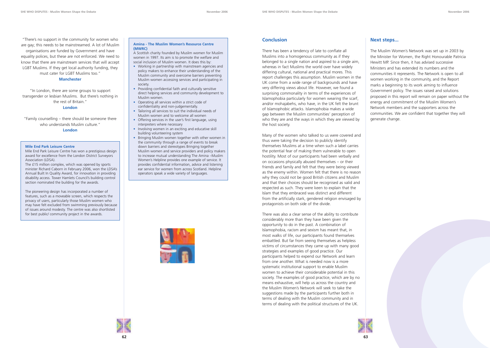"There's no support in the community for women who are gay; this needs to be mainstreamed. A lot of Muslim organisations are funded by Government and have equality polices, but these are not enforced. We need to know that there are mainstream services that will accept LGBT Muslims. If they get local authority funding, they must cater for LGBT Muslims too."

#### **Manchester**

"In London, there are some groups to support transgender or lesbian Muslims. But there's nothing in the rest of Britain."

#### **London**

"Family counselling – there should be someone there who understands Muslim culture."

#### **London**

#### **Amina - The Muslim Women's Resource Centre (MWRC)**

A Scottish charity founded by Muslim women for Muslim women in 1997. Its aim is to promote the welfare and social inclusion of Muslim women. It does this by:

- Working in partnership with mainstream agencies and policy makers to enhance their understanding of the Muslim community and overcome barriers preventing Muslim women accessing services and participating in society.
- Providing confidential faith and culturally sensitive direct helping services and community development to Muslim women.
- Operating all services within a strict code of confidentiality and non-judgementally.
- Tailoring all services to suit the individual needs of Muslim women and to welcome all women
- Offering services in the user's first language, using interpreters where necessary
- Involving women in an exciting and educative skill building volunteering system
- Bringing Muslim women together with other women in the community through a range of events to break down barriers and stereotypes Bringing together Muslim women and service providers and policy makers to increase mutual understanding The Amina –Muslim Women's Helpline provides one example of service. It provides confidential information, advice and listening ear service for women from across Scotland. Helpline operators speak a wide variety of languages.



#### **Conclusion**

There has been a tendency of late to conflate all Muslims into a homogenous community as if they belonged to a single nation and aspired to a single aim, whereas in fact Muslims the world over have widely differing cultural, national and practical mores. This report challenges this assumption. Muslim women in the UK come from a wide range of backgrounds and have very differing views about life. However, we found a surprising commonality in terms of the experiences of Islamophobia particularly for women wearing the scarf, and/or mohajabehs, who have, in the UK felt the brunt of Islamophobic attacks. Islamophobia makes a wide gap between the Muslim communities' perception of who they are and the ways in which they are viewed by the host society.

Many of the women who talked to us were covered and thus were taking the decision to publicly identify themselves Muslims at a time when such a label carries the potential fear of making them vulnerable to open hostility. Most of our participants had been verbally and on occasions physically abused themselves – or their friends and family and felt that they were being viewed as the enemy within. Women felt that there is no reason why they could not be good British citizens and Muslim and that their choices should be recognised as valid and respected as such. They were keen to explain that the Islam that they embraced was distinct and different from the artificially stark, gendered religion envisaged by protagonists on both side of the divide.

There was also a clear sense of the ability to contribute considerably more than they have been given the opportunity to do in the past. A combination of Islamophobia, racism and sexism has meant that, in most walks of life, our participants found themselves embattled. But far from seeing themselves as helpless victims of circumstances they came up with many good strategies and examples of good practice. Our participants helped to expend our Network and learn from one another. What is needed now is a more systematic institutional support to enable Muslim women to achieve their considerable potential in this society. The examples of good practice, which are by no means exhaustive, will help us across the country and the Muslim Women's Network will seek to take the suggestions made by the participants further both in terms of dealing with the Muslim community and in terms of dealing with the political structures of the UK.





## **Next steps...**

The Muslim Women's Network was set up in 2003 by the Minister for Women, the Right Honourable Patricia Hewitt MP. Since then, it has advised successive Ministers and has extended its numbers and the communities it represents. The Network is open to all women working in the community, and the Report marks a beginning to its work aiming to influence Government policy. The issues raised and solutions proposed in this report will remain on paper without the energy and commitment of the Muslim Women's Network members and the supporters across the communities. We are confident that together they will generate change.

#### **Mile End Park Leisure Centre**

Mile End Park Leisure Centre has won a prestigious design award for excellence from the London District Surveyors Association (LDSA).

The £15 million complex, which was opened by sports minister Richard Caborn in February 2006, won the LDSA's Annual Built In Quality Award, for innovation in providing disability access. Tower Hamlets Council's building control section nominated the building for the awards.

The pioneering design has incorporated a number of features, such as a moveable screen, which respects the privacy of users, particularly those Muslim women who may have felt excluded from swimming previously because of issues around modesty. The centre was also shortlisted for best public/ community project in the awards.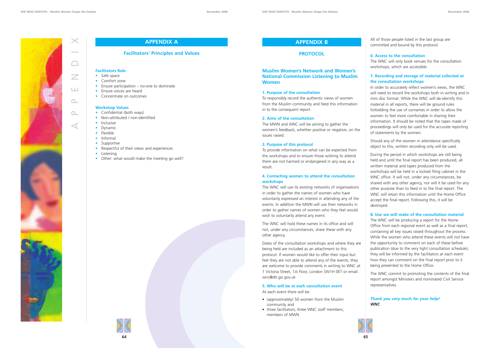

All of those people listed in the last group are committed and bound by this protocol.

### **6. Access to the consultation**

The WNC will only book venues for the consultation workshops, which are accessible.

## **7. Recording and storage of material collected at the consultation workshops**

In order to accurately reflect women's views, the WNC will need to record the workshops both in writing and in mini disc format. While the WNC will de-identify this material in all reports, there will be ground rules forbidding the use of surnames in order to allow the women to feel more comfortable in sharing their information. It should be noted that the tapes made of proceedings will only be used for the accurate reporting of statements by the women.

Should any of the women in attendance specifically object to this, written recording only will be used.

During the period in which workshops are still being held and until the final report has been produced, all written material and tapes produced from the workshops will be held in a locked filing cabinet in the WNC office. It will not, under any circumstances, be shared with any other agency, nor will it be used for any other purpose than to feed in to the final report. The WNC will retain this information until the Home Office accept the final report. Following this, it will be destroyed.

## **8. Use we will make of the consultation material**

The WNC will be producing a report for the Home Office from each regional event as well as a final report, containing all key issues raised throughout the process. While the women who attend these events will not have the opportunity to comment on each of these before publication (due to the very tight consultation schedule), they will be informed by the facilitators at each event how they can comment on the final report prior to it being presented to the Home Office.

- Safe space
- Comfort zone
- Ensure participation no-one to dominate
- Ensure voices are heard
- Concentrate on outcomes

- Confidential (both ways)
- Non-attributed / non-identified
- Inclusive

 $\triangleleft$ 

 $\Delta$ 

 $\Omega$ 

- Dynamic
- Flexible
- Informal
- Supportive
- Respectful of their views and experiences
- Listening
- Other: what would make the meeting go well?



The WNC commit to promoting the contents of the final report amongst Ministers and nominated Civil Service representatives.

*Thank you very much for your help! WNC*

#### **APPENDIX B**

## **PROTOCOL**

#### **Muslim Women's Network and Women's National Commission Listening to Muslim Women**

#### **1. Purpose of the consultation**

To responsibly record the authentic views of women from the Muslim community and feed this information in to the consequent report.

#### **2. Aims of the consultation**

The MWN and WNC will be aiming to gather the women's feedback, whether positive or negative, on the issues raised.

#### **3. Purpose of this protocol**

To provide information on what can be expected from the workshops and to ensure those wishing to attend them are not harmed or endangered in any way as a result.

#### **4. Contacting women to attend the consultation workshops**

The WNC will use its existing networks of organisations in order to gather the names of women who have voluntarily expressed an interest in attending any of the events. In addition the MWN will use their networks in order to gather names of women who they feel would wish to voluntarily attend any event.

The WNC will hold these names in its office and will not, under any circumstances, share these with any other agency.

Dates of the consultation workshops and where they are being held are included as an attachment to this protocol. If women would like to offer their input but feel they are not able to attend any of the events, they are welcome to provide comments in writing to WNC at 1 Victoria Street, 1st Floor, London SW1H 0ET or email: wnc@dti.gsi.gov.uk

#### **5. Who will be at each consultation event**

At each event there will be:

- (approximately) 50 women from the Muslim community and
- three facilitators; three WNC staff members; members of MWN



E

 $\overline{\angle}$ 

 $\bigcap$ 

 $\times$ 

# **APPENDIX A**

#### **Facilitators' Principles and Values**

#### **Facilitators Role**

#### **Workshop Values**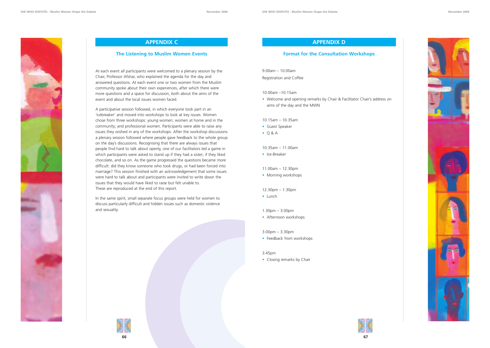









# **APPENDIX C**

### **The Listening to Muslim Women Events**

At each event all participants were welcomed to a plenary session by the Chair, Professor Afshar, who explained the agenda for the day and answered questions. At each event one or two women from the Muslim community spoke about their own experiences, after which there were more questions and a space for discussion, both about the aims of the event and about the local issues women faced.

- Guest Speaker
- $\bullet$  Q & A

A participative session followed, in which everyone took part in an 'icebreaker' and moved into workshops to look at key issues. Women chose from three workshops: young women; women at home and in the community; and professional women. Participants were able to raise any issues they wished in any of the workshops. After the workshop discussions a plenary session followed where people gave feedback to the whole group on the day's discussions. Recognising that there are always issues that people find hard to talk about openly, one of our facilitators led a game in which participants were asked to stand up if they had a sister; if they liked chocolate, and so on. As the game progressed the questions became more difficult: did they know someone who took drugs, or had been forced into marriage? This session finished with an acknowledgement that some issues were hard to talk about and participants were invited to write down the issues that they would have liked to raise but felt unable to. These are reproduced at the end of this report.

In the same spirit, small separate focus groups were held for women to discuss particularly difficult and hidden issues such as domestic violence and sexuality.

## **APPENDIX D**

#### **Format for the Consultation Workshops**

9.00am – 10.00am Registration and Coffee

#### 10.00am –10.15am

• Welcome and opening remarks by Chair & Facilitator Chair's address on aims of the day and the MWN

#### 10.15am – 10.35am

#### 10.35am – 11.00am

• Ice-Breaker

#### 11.00am – 12.30pm

• Morning workshops

#### 12.30pm – 1.30pm

- Lunch
- 1.30pm 3.00pm
- Afternoon workshops

#### 3.00pm – 3.30pm

• Feedback from workshops

#### 3.45pm

• Closing remarks by Chair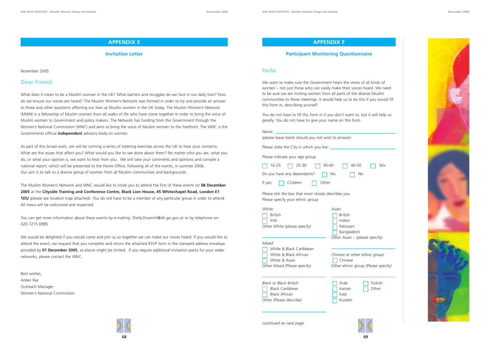

 $\Box$  50+

#### **APPENDIX F**

### **Participant Monitoring Questionnaire**

### **Hello**

We want to make sure the Government hears the views of all kinds of women – not just those who can easily make their voices heard. We need to be sure we are inviting women from all parts of the diverse Muslim communities to these meetings. It would help us to do this if you would fill this form in, describing yourself.

White & Black Caribbean White & Black African *Chinese or other ethnic group:* White & Asian

You do not have to fill this form in if you don't want to, but it will help us greatly. You do not have to give your name on this form.

| Name:                                                                                     |                    |  |  |  |
|-------------------------------------------------------------------------------------------|--------------------|--|--|--|
| (please leave blank should you not wish to answer)                                        |                    |  |  |  |
| Please state the City in which you live:                                                  |                    |  |  |  |
| Please indicate your age group:                                                           |                    |  |  |  |
| 16-25<br>25-30                                                                            | $30 - 40$<br>40-50 |  |  |  |
| Do you have any dependants?                                                               | No.<br>Yes         |  |  |  |
| Children<br>If yes:                                                                       | Other              |  |  |  |
| Please tick the box that most closely describes you.<br>Please specify your ethnic group: |                    |  |  |  |
| White:                                                                                    | Asian:             |  |  |  |
| <b>British</b>                                                                            | <b>British</b>     |  |  |  |
| Irish                                                                                     | Indian             |  |  |  |
| Other White (please specify)                                                              | Pakistani          |  |  |  |
|                                                                                           | Bangladeshi        |  |  |  |

Other Asian – (please specify)





| White & Black African        | Chinese or other ethnic group:      |
|------------------------------|-------------------------------------|
| 7 White & Asian              | Chinese                             |
| Other Mixed (Please specify) | Other ethnic group (Please specify) |

| Black or Black British: | Arab        | $\parallel$ Turkish |
|-------------------------|-------------|---------------------|
| Black Caribbean         | $ $ Iranian | $\vert$ Other       |
| <b>Black African</b>    | $\ $ Iraqi  |                     |
| Other (Please describe) | l Kurdish   |                     |

## **APPENDIX E**

### **Invitation Letter**

November 2005

## **Dear Friend**,

You can get more information about these events by e-mailing: Shelly.Dowrich@dti.gsi.gov.uk or by telephone on: 020 7215 6985

What does it mean to be a Muslim woman in the UK? What barriers and struggles do we face in our daily lives? How do we ensure our voices are heard? The Muslim Women's Network was formed in order to try and provide an answer to these and other questions affecting our lives as Muslim women in the UK today. The Muslim Women's Network (MWN) is a fellowship of Muslim women from all walks of life who have come together in order to bring the voice of Muslim women to Government and policy makers. The Network has funding from the Government through the Women's National Commission (WNC) and aims to bring the voice of Muslim women to the forefront. The WNC is the Governments official **independent** advisory body on women.

As part of this broad work, we will be running a series of listening exercises across the UK to hear your concerns. What are the issues that affect you? What would you like to see done about them? No matter who you are, what you do, or what your opinion is, we want to hear from you. We will take your comments and opinions and compile a national report, which will be presented to the Home Office, following all of the events, in summer 2006. Our aim is to talk to a diverse group of women from all Muslim communities and backgrounds.

The Muslim Women's Network and WNC would like to invite you to attend the first of these events on **08 December 2005** at the **Cityside Training and Conference Centre, Black Lion House, 45 Whitechapel Road, London E1 1DU** (please see location map attached). You do not have to be a member of any particular group in order to attend. All views will be welcomed and respected.

We would be delighted if you would come and join us so together we can make our voices heard. If you would like to attend the event, we request that you complete and return the attached RSVP form in the stamped address envelope provided by **01 December 2005**, as places might be limited. If you require additional invitation packs for your wider networks, please contact the WNC.

Best wishes, Anber Raz Outreach Manager Women's National Commission



*continued on next page*

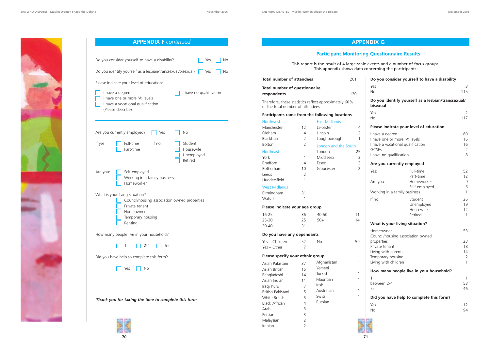

| This report is the result of 4 large-scale<br>This appendix shows data   |  |     |
|--------------------------------------------------------------------------|--|-----|
| Total number of attendees                                                |  | 201 |
| <b>Total number of questionnaire</b><br>respondents                      |  | 120 |
| $T_{1}$ ,  f ,  there is a related as well as a conservative state. COD/ |  |     |

Therefore, these statistics reflect approximately 60% of the total number of attendees.

#### **Participants came from the following locations**

| Do you consider yourself to have a disability                                                                             |                                                    |                          |  |
|---------------------------------------------------------------------------------------------------------------------------|----------------------------------------------------|--------------------------|--|
| Yes<br><b>No</b>                                                                                                          |                                                    | 3<br>115                 |  |
| bisexual                                                                                                                  | Do you identify yourself as a lesbian/transsexual/ |                          |  |
| Yes<br><b>No</b>                                                                                                          |                                                    | 2<br>117                 |  |
| Please indicate your level of education                                                                                   |                                                    |                          |  |
| I have a degree<br>I have one or more 'A' levels<br>I have a vocational qualification<br>GCSEs<br>I have no qualification |                                                    | 60<br>16<br>16<br>2<br>8 |  |
| Are you currently employed                                                                                                |                                                    |                          |  |
| Yes:<br>Are you:                                                                                                          | Full-time<br>Part-time<br>Homeworker               | 52<br>12<br>9            |  |
| Working in a family business                                                                                              | Self-employed                                      | 6<br>$\mathbf{1}$        |  |
| If no:                                                                                                                    | Student<br>Unemployed<br>Housewife<br>Retired      | 26<br>19<br>12<br>1      |  |
| What is your living situation?                                                                                            |                                                    |                          |  |
| Homeowner<br>Council/housing association owned                                                                            |                                                    | 53                       |  |
| properties<br>Private tenant<br>Living with parents<br>Temporary housing<br>Living with children                          |                                                    | 23<br>18<br>14<br>2<br>1 |  |
|                                                                                                                           | How many people live in your household?            |                          |  |
| 1<br>between 2-4<br>$5+$                                                                                                  |                                                    | 1<br>53<br>46            |  |
|                                                                                                                           | Did you have help to complete this form?           |                          |  |
| Yes<br><b>No</b>                                                                                                          |                                                    | 12<br>94                 |  |



| <b>APPENDIX F continued</b>                                                                                                                   |
|-----------------------------------------------------------------------------------------------------------------------------------------------|
|                                                                                                                                               |
| Do you consider yourself to have a disability?<br>Yes<br><b>No</b>                                                                            |
| Do you identify yourself as a lesbian/transsexual/bisexual?<br>Yes<br>No.                                                                     |
| Please indicate your level of education:                                                                                                      |
| I have a degree<br>I have no qualification<br>I have one or more 'A' levels<br>I have a vocational qualification<br>(Please describe)         |
| Are you currently employed?<br><b>No</b><br>Yes                                                                                               |
| If no:<br>Full-time<br>If yes:<br>Student<br>Part-time<br>Housewife<br>Unemployed<br>Retired                                                  |
| Self-employed<br>Are you:<br>Working in a family business<br>Homeworker                                                                       |
| What is your living situation?<br>Council/housing association owned properties<br>Private tenant<br>Homeowner<br>Temporary housing<br>Renting |
| How many people live in your household?                                                                                                       |
| $2 - 4$<br>$5+$<br>$\overline{1}$                                                                                                             |
| Did you have help to complete this form?                                                                                                      |
| Yes<br>No                                                                                                                                     |
|                                                                                                                                               |
|                                                                                                                                               |
| Thank you for taking the time to complete this form                                                                                           |
|                                                                                                                                               |



| <b>Northwest</b>               |                                  |                | <b>East Midlands</b> |                |  |  |
|--------------------------------|----------------------------------|----------------|----------------------|----------------|--|--|
| Manchester                     |                                  | 12             | Leicester            | 4              |  |  |
| Oldham                         |                                  | 4              | Lincoln              | $\overline{2}$ |  |  |
| Blackburn                      |                                  | $\overline{2}$ | Loughborough         | $\mathbf{1}$   |  |  |
| <b>Bolton</b>                  |                                  | $\overline{2}$ | London and the South |                |  |  |
| <b>Northeast</b>               |                                  |                | London               | 25             |  |  |
| York                           |                                  | 1              | Middlesex            | 3              |  |  |
| <b>Bradford</b>                |                                  | 4              | Essex                | 3              |  |  |
| Rotherham                      |                                  | 10             | Gloucester           | $\overline{2}$ |  |  |
| Leeds                          |                                  | $\overline{2}$ |                      |                |  |  |
| Huddersfield                   |                                  | 1              |                      |                |  |  |
|                                | <b>West Midlands</b>             |                |                      |                |  |  |
| Birmingham                     |                                  | 31             |                      |                |  |  |
| Walsall                        |                                  | 1              |                      |                |  |  |
| Please indicate your age group |                                  |                |                      |                |  |  |
| 16-25                          |                                  | 36             | 40-50                | 11             |  |  |
| $25 - 30$                      |                                  | 25             | $50+$                | 14             |  |  |
| 30-40                          |                                  | 31             |                      |                |  |  |
| Do you have any dependants     |                                  |                |                      |                |  |  |
|                                | Yes - Children                   | 52             | No                   | 59             |  |  |
| Yes - Other                    |                                  | 7              |                      |                |  |  |
|                                | Please specify your ethnic group |                |                      |                |  |  |
|                                | Asian Pakistani                  | 37             | Afghanistan          | 1              |  |  |
| Asian British                  |                                  | 15             | Yemeni               | 1              |  |  |
| Bangladeshi                    |                                  | 14             | Turkish              | 1              |  |  |
| Asian Indian                   |                                  | 11             | Mauritian            | 1              |  |  |
| Iraqi Kurd                     |                                  | $\overline{7}$ | Irish                | 1              |  |  |
|                                | British Pakistani                | 5              | Australian           | 1              |  |  |
|                                | White British                    | 5              | Swiss                | 1              |  |  |
|                                | <b>Black African</b>             | $\overline{4}$ | Russian              | 1              |  |  |
| Arab                           |                                  | 3              |                      |                |  |  |
| Persian                        |                                  | 3              |                      |                |  |  |
| Malaysian                      |                                  | $\overline{2}$ |                      |                |  |  |
| Iranian                        |                                  | $\overline{2}$ |                      |                |  |  |

# **APPENDIX G**

Ie events and a number of focus groups. concerning the participants.

# **Participant Monitoring Questionnaire Results**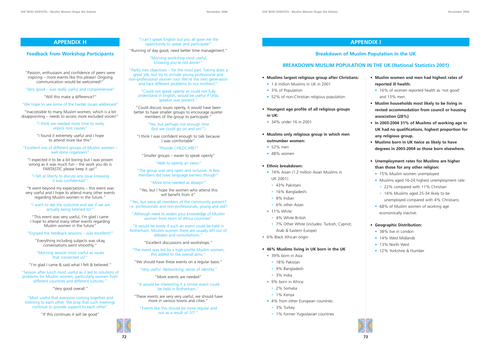**72**

- 74% Asian (1.2 million Asian Muslims in UK 2001):
- 43% Pakistani
- 16% Bangladeshi
- 8% Indian
- 6% other Asian
- 11% White:
- 4% White British
- 7% Other White (includes: Turkish, Cypriot, Arab & Eastern Europe)
- 6% Black African origin
- **Muslims largest religious group after Christians:**
- 1.6 million Muslims in UK in 2001
- 3% of Population
- 52% of non-Christian religious population
- **Youngest age profile of all religious groups in UK:**
- 34% under 16 in 2001
- **Muslims only religious group in which men outnumber women:**
- 52% men
- 48% women

- 39% born in Asia:
- 18% Pakistan
- 9% Bangladesh
- 3% India
- 9% born in Africa:
- 2% Somalia
- 1% Kenya
- 4% from other European countries:
- 3% Turkey
- 1% former Yugoslavian countries

#### • **Ethnic breakdown:**

#### • **46% Muslims living in UK born in the UK**

- **Muslim women and men had highest rates of reported ill health:**
- 16% of women reported health as 'not good' and 13% men.
- **Muslim households most likely to be living in rented accommodation from council or housing association (28%)**
- **In 2003-2004 31% of Muslims of working age in UK had no qualifications, highest proportion for any religious group.**
- **Muslims born in UK twice as likely to have degrees in 2003-2004 as those born elsewhere.**
- **Unemployment rates for Muslims are higher than those for any other religion:**
- 15% Muslim women unemployed
- Muslims aged 16-24 highest unemployment rate: • 22% compared with 11% Christian
- 14% Muslims aged 25-34 likely to be unemployed compared with 4% Christians.
- 68% of Muslim women of working age economically inactive.

#### • **Geographic Distribution:**

- 38% live in London
- 14% West Midlands
- 13% North West
- 12% Yorkshire & Humber



## **APPENDIX I**

## **Breakdown of Muslim Population in the UK**

## **BREAKDOWN MUSLIM POPULATION IN THE UK (National Statistics 2001)**

"I can't speak English but you all gave me the opportunity to speak and participate"

"Running of day good, need better time management."

"Morning workshop most useful, knowing you're not alone!"

"Partly met objectives – for the most part. Fatima does a great job, but try to include young professional and non-professional women too! We're the next generation and face different problems to our mothers!"

"Could not speak openly as could not fully understand in English, would be useful if Urdu speaker was present."

"Could discuss issues openly, it would have been better to have smaller groups to encourage quieter members of the group to participate."

> "Yes, but perhaps not enough time (but we could go on and on!")

"I think I was confident enough to talk because I was comfortable"

"Provide CHILDCARE!"

"Smaller groups – easier to speak openly"

"Able to openly air views"

"The group was very open and inclusive. A few members did have language barriers though"

"More time needed as always!"

"Yes, but I hope the women who attend this will benefit from it"

"Yes, but were all members of the community present? i.e. professionals and non-professionals, young and old?

"Although need to widen your knowledge of Muslim women from Horn of Africa countries"

"It would be lovely if such an event could be held in Rotherham, Muslim women there are usually left out of debates and consultations."

"Excellent discussions and workshops."

"The event was led by a high profile Muslim women, this added to the overall aims."

"We should have these events on a regular basis."

"Very useful. Networking, sense of identity."

"More events are needed"

"It would be interesting if a similar event could be held in Rotherham."

"These events are very very useful, we should have more in various towns and cities."

"Events like this should be more regular and not as a result of 7/7."

### **APPENDIX H**

#### **Feedback from Workshop Participants**

"Passion, enthusiasm and confidence of peers were inspiring – more events like this please! Ongoing communication would be welcomed!"

"Very good – was really useful and comprehensive"

"Will this make a difference?"

"We hope to see some of the harder issues addressed"

"Inaccessible to many Muslim women, which is a bit disappointing – needs to access more excluded voices!"

> "I think we needed more time to really unpick root causes"

> "I found it extremely useful and I hope to attend more like this"

"Excellent mix of different groups of Muslim women – well done organisers"

"I expected it to be a bit boring but I was proven wrong as it was much fun – the work you do is FANTASTIC please keep it up!"

#### "I felt at liberty to discuss any issue knowing it was confidential!"

"It went beyond my expectations – this event was very useful and I hope to attend many other events regarding Muslim women in the future."

"I want to see the outcome and see if we are actually being listened to!"

"This event was very useful, I'm glad I came I hope to attend many other events regarding Muslim women in the future"

"Enjoyed the feedback sessions – was excellent!"

"Everything including subjects was okay, conversations went smoothly."

"Morning session most useful as issues that concerned us!"

"I'm glad I came & said what I felt & believed."

"Session after lunch most useful as it led to solutions of problems for Muslim women, particularly women from different countries and different cultures."

"Very good overall."

"Most useful that everyone coming together and listening to each other. We pray that such meetings continue to provide support to each other"

"If this continues it will be good"

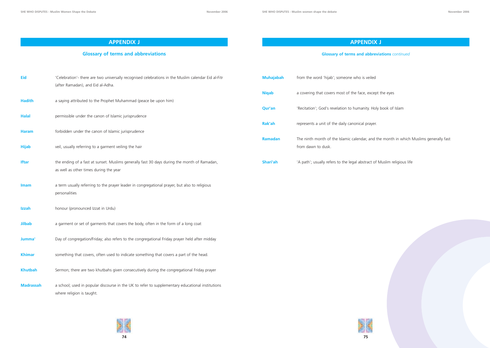**75**



**APPENDIX J**

**Glossary of terms and abbreviations**



# **APPENDIX J**

**Glossary of terms and abbreviations** *continued*

e, except the eyes

nity. Holy book of Islam

**P** prayer.

ar, and the month in which Muslims generally fast

stract of Muslim religious life

| <b>Eid</b>       | 'Celebration'- there are two universally recognised celebrations in the Muslim calendar Eid al-Fitr<br>(after Ramadan), and Eid al-Adha. | <b>Muhajabah</b> | from the word 'hijab'; someone who is veiled     |
|------------------|------------------------------------------------------------------------------------------------------------------------------------------|------------------|--------------------------------------------------|
|                  |                                                                                                                                          | <b>Niqab</b>     | a covering that covers most of the face, exce    |
| <b>Hadith</b>    | a saying attributed to the Prophet Muhammad (peace be upon him)                                                                          | <b>Qur'an</b>    | 'Recitation'; God's revelation to humanity. Ho   |
| <b>Halal</b>     | permissible under the canon of Islamic jurisprudence                                                                                     | Rak'ah           | represents a unit of the daily canonical prayer  |
| <b>Haram</b>     | forbidden under the canon of Islamic jurisprudence                                                                                       |                  | The ninth month of the Islamic calendar, and     |
| <b>Hijab</b>     | veil, usually referring to a garment veiling the hair                                                                                    | Ramadan          | from dawn to dusk.                               |
| <b>Iftar</b>     | the ending of a fast at sunset. Muslims generally fast 30 days during the month of Ramadan,<br>as well as other times during the year    | Shari'ah         | 'A path'; usually refers to the legal abstract o |
| <b>Imam</b>      | a term usually referring to the prayer leader in congregational prayer, but also to religious<br>personalities                           |                  |                                                  |
| Izzah            | honour (pronounced Izzat in Urdu)                                                                                                        |                  |                                                  |
| <b>Jilbab</b>    | a garment or set of garments that covers the body, often in the form of a long coat                                                      |                  |                                                  |
| Jumma'           | Day of congregation/Friday; also refers to the congregational Friday prayer held after midday                                            |                  |                                                  |
| <b>Khimar</b>    | something that covers, often used to indicate something that covers a part of the head.                                                  |                  |                                                  |
| <b>Khutbah</b>   | Sermon; there are two khutbahs given consecutively during the congregational Friday prayer                                               |                  |                                                  |
| <b>Madrassah</b> | a school; used in popular discourse in the UK to refer to supplementary educational institutions<br>where religion is taught.            |                  |                                                  |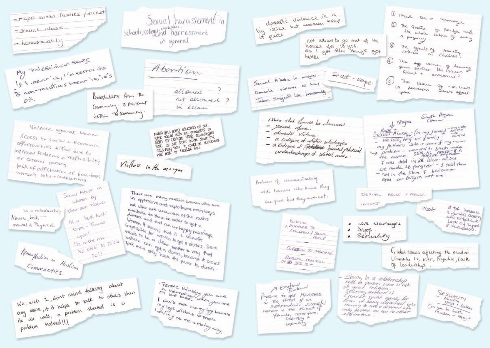

1 Forced Sex in Marriage 1 The Question of Pro-lye and lere inhole essue of ending a pequey 5 The eyests of pomenting The diff verme of leaving your portner the basis a svine + economic? The wave of - unlaws un demacons which eyech you Sayth Asian  $t$  stigms Conner  $\frac{3exin\text{Abuse}}{1+2exin\text{Abuse}}$  (in my family) spirited<br>We lost, half our family - which is the lost, half our family problem - wanted to stush under the auper. SEXUAL months A I was told in all Islam all sins are made 2B pargiven - I told them - not in the Islam I believe in. god an forgiver not me SEXUAL ABUSE + MEALCH  $IT$ CEST of the Problems Incest re family's croasing Lack of Support Love Marriages Drugs. Servally Global issues affecting the muslim Ummaha 1.2, War, Prejudice, Lack of leading . - Being In a relationship with the person who who Screen ardend it SEXUALITY<br>ALUMITY<br>2011 Person Con you be both only because me has no other